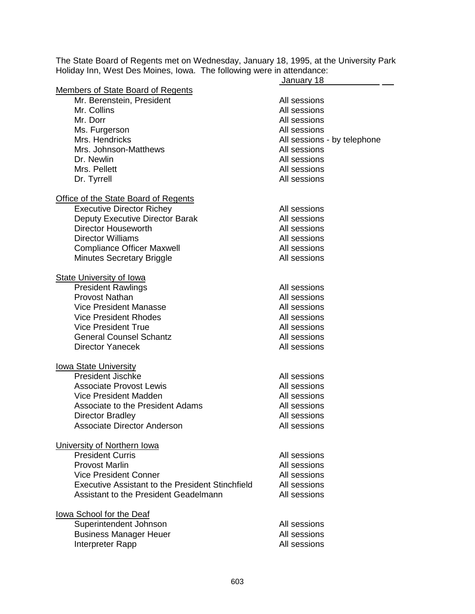The State Board of Regents met on Wednesday, January 18, 1995, at the University Park Holiday Inn, West Des Moines, Iowa. The following were in attendance:

|                                                  | January 18                  |
|--------------------------------------------------|-----------------------------|
| Members of State Board of Regents                |                             |
| Mr. Berenstein, President                        | All sessions                |
| Mr. Collins                                      | All sessions                |
| Mr. Dorr                                         | All sessions                |
| Ms. Furgerson                                    | All sessions                |
| Mrs. Hendricks                                   | All sessions - by telephone |
| Mrs. Johnson-Matthews                            | All sessions                |
| Dr. Newlin                                       | All sessions                |
| Mrs. Pellett                                     |                             |
|                                                  | All sessions                |
| Dr. Tyrrell                                      | All sessions                |
| Office of the State Board of Regents             |                             |
| <b>Executive Director Richey</b>                 | All sessions                |
| Deputy Executive Director Barak                  | All sessions                |
| <b>Director Houseworth</b>                       | All sessions                |
| <b>Director Williams</b>                         | All sessions                |
| <b>Compliance Officer Maxwell</b>                | All sessions                |
|                                                  |                             |
| <b>Minutes Secretary Briggle</b>                 | All sessions                |
| <b>State University of Iowa</b>                  |                             |
| <b>President Rawlings</b>                        | All sessions                |
| <b>Provost Nathan</b>                            | All sessions                |
| <b>Vice President Manasse</b>                    | All sessions                |
| <b>Vice President Rhodes</b>                     | All sessions                |
| <b>Vice President True</b>                       | All sessions                |
| <b>General Counsel Schantz</b>                   | All sessions                |
| <b>Director Yanecek</b>                          | All sessions                |
|                                                  |                             |
| <u>Iowa State University</u>                     |                             |
| <b>President Jischke</b>                         | All sessions                |
| <b>Associate Provost Lewis</b>                   | All sessions                |
| Vice President Madden                            | All sessions                |
| Associate to the President Adams                 | All sessions                |
| <b>Director Bradley</b>                          | All sessions                |
| <b>Associate Director Anderson</b>               | All sessions                |
|                                                  |                             |
| University of Northern Iowa                      |                             |
| <b>President Curris</b>                          | All sessions                |
| <b>Provost Marlin</b>                            | All sessions                |
| <b>Vice President Conner</b>                     | All sessions                |
| Executive Assistant to the President Stinchfield | All sessions                |
| Assistant to the President Geadelmann            | All sessions                |
|                                                  |                             |
| lowa School for the Deaf                         |                             |
| Superintendent Johnson                           | All sessions                |
| <b>Business Manager Heuer</b>                    | All sessions                |
| Interpreter Rapp                                 | All sessions                |
|                                                  |                             |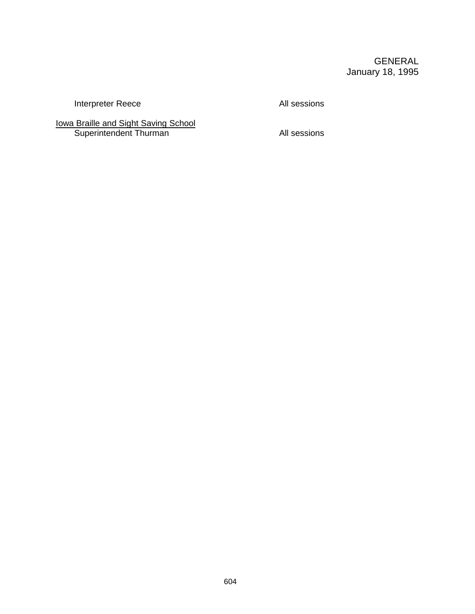## GENERAL January 18, 1995

Interpreter Reece All sessions

Iowa Braille and Sight Saving School Superintendent Thurman All sessions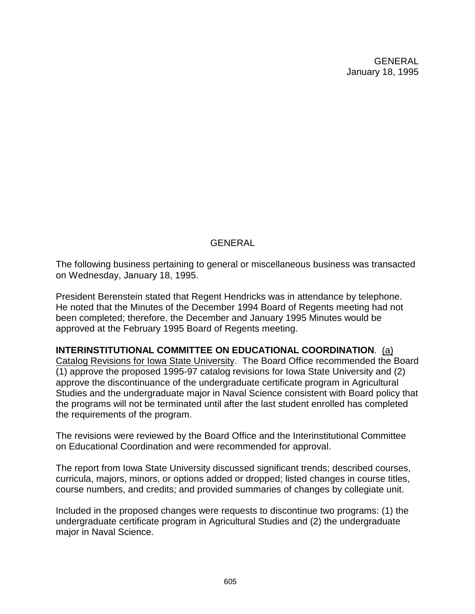GENERAL January 18, 1995

## GENERAL

The following business pertaining to general or miscellaneous business was transacted on Wednesday, January 18, 1995.

President Berenstein stated that Regent Hendricks was in attendance by telephone. He noted that the Minutes of the December 1994 Board of Regents meeting had not been completed; therefore, the December and January 1995 Minutes would be approved at the February 1995 Board of Regents meeting.

**INTERINSTITUTIONAL COMMITTEE ON EDUCATIONAL COORDINATION**. (a) Catalog Revisions for Iowa State University. The Board Office recommended the Board (1) approve the proposed 1995-97 catalog revisions for Iowa State University and (2) approve the discontinuance of the undergraduate certificate program in Agricultural Studies and the undergraduate major in Naval Science consistent with Board policy that the programs will not be terminated until after the last student enrolled has completed the requirements of the program.

The revisions were reviewed by the Board Office and the Interinstitutional Committee on Educational Coordination and were recommended for approval.

The report from Iowa State University discussed significant trends; described courses, curricula, majors, minors, or options added or dropped; listed changes in course titles, course numbers, and credits; and provided summaries of changes by collegiate unit.

Included in the proposed changes were requests to discontinue two programs: (1) the undergraduate certificate program in Agricultural Studies and (2) the undergraduate major in Naval Science.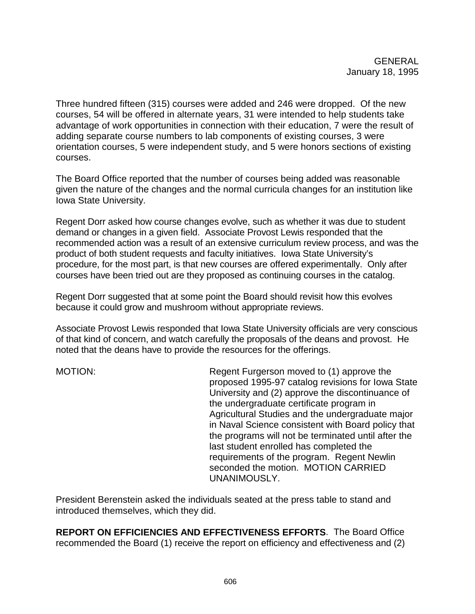Three hundred fifteen (315) courses were added and 246 were dropped. Of the new courses, 54 will be offered in alternate years, 31 were intended to help students take advantage of work opportunities in connection with their education, 7 were the result of adding separate course numbers to lab components of existing courses, 3 were orientation courses, 5 were independent study, and 5 were honors sections of existing courses.

The Board Office reported that the number of courses being added was reasonable given the nature of the changes and the normal curricula changes for an institution like Iowa State University.

Regent Dorr asked how course changes evolve, such as whether it was due to student demand or changes in a given field. Associate Provost Lewis responded that the recommended action was a result of an extensive curriculum review process, and was the product of both student requests and faculty initiatives. Iowa State University's procedure, for the most part, is that new courses are offered experimentally. Only after courses have been tried out are they proposed as continuing courses in the catalog.

Regent Dorr suggested that at some point the Board should revisit how this evolves because it could grow and mushroom without appropriate reviews.

Associate Provost Lewis responded that Iowa State University officials are very conscious of that kind of concern, and watch carefully the proposals of the deans and provost. He noted that the deans have to provide the resources for the offerings.

MOTION: Regent Furgerson moved to (1) approve the proposed 1995-97 catalog revisions for Iowa State University and (2) approve the discontinuance of the undergraduate certificate program in Agricultural Studies and the undergraduate major in Naval Science consistent with Board policy that the programs will not be terminated until after the last student enrolled has completed the requirements of the program. Regent Newlin seconded the motion. MOTION CARRIED UNANIMOUSLY.

President Berenstein asked the individuals seated at the press table to stand and introduced themselves, which they did.

**REPORT ON EFFICIENCIES AND EFFECTIVENESS EFFORTS**.The Board Office recommended the Board (1) receive the report on efficiency and effectiveness and (2)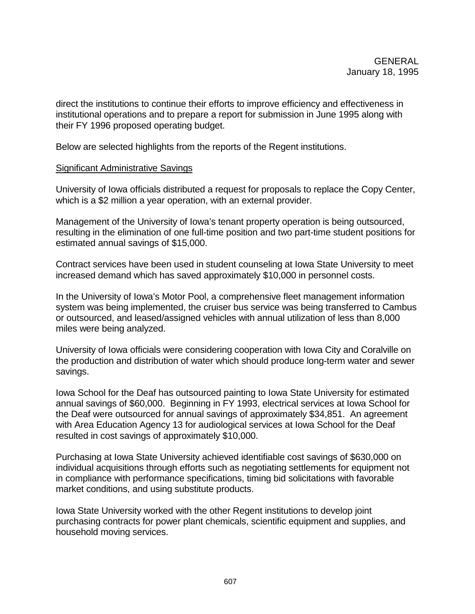direct the institutions to continue their efforts to improve efficiency and effectiveness in institutional operations and to prepare a report for submission in June 1995 along with their FY 1996 proposed operating budget.

Below are selected highlights from the reports of the Regent institutions.

#### Significant Administrative Savings

University of Iowa officials distributed a request for proposals to replace the Copy Center, which is a \$2 million a year operation, with an external provider.

Management of the University of Iowa's tenant property operation is being outsourced, resulting in the elimination of one full-time position and two part-time student positions for estimated annual savings of \$15,000.

Contract services have been used in student counseling at Iowa State University to meet increased demand which has saved approximately \$10,000 in personnel costs.

In the University of Iowa's Motor Pool, a comprehensive fleet management information system was being implemented, the cruiser bus service was being transferred to Cambus or outsourced, and leased/assigned vehicles with annual utilization of less than 8,000 miles were being analyzed.

University of Iowa officials were considering cooperation with Iowa City and Coralville on the production and distribution of water which should produce long-term water and sewer savings.

Iowa School for the Deaf has outsourced painting to Iowa State University for estimated annual savings of \$60,000. Beginning in FY 1993, electrical services at Iowa School for the Deaf were outsourced for annual savings of approximately \$34,851. An agreement with Area Education Agency 13 for audiological services at Iowa School for the Deaf resulted in cost savings of approximately \$10,000.

Purchasing at Iowa State University achieved identifiable cost savings of \$630,000 on individual acquisitions through efforts such as negotiating settlements for equipment not in compliance with performance specifications, timing bid solicitations with favorable market conditions, and using substitute products.

Iowa State University worked with the other Regent institutions to develop joint purchasing contracts for power plant chemicals, scientific equipment and supplies, and household moving services.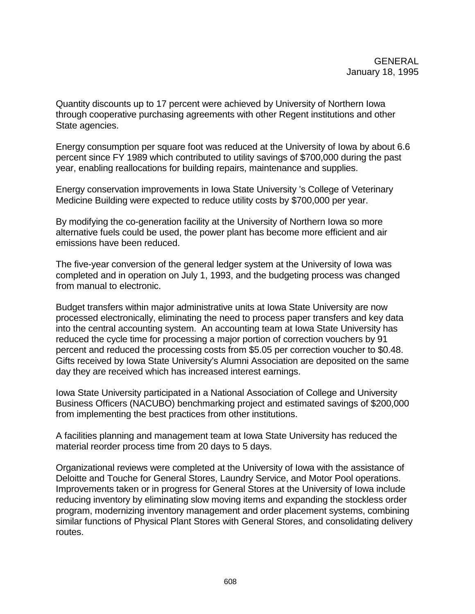Quantity discounts up to 17 percent were achieved by University of Northern Iowa through cooperative purchasing agreements with other Regent institutions and other State agencies.

Energy consumption per square foot was reduced at the University of Iowa by about 6.6 percent since FY 1989 which contributed to utility savings of \$700,000 during the past year, enabling reallocations for building repairs, maintenance and supplies.

Energy conservation improvements in Iowa State University 's College of Veterinary Medicine Building were expected to reduce utility costs by \$700,000 per year.

By modifying the co-generation facility at the University of Northern Iowa so more alternative fuels could be used, the power plant has become more efficient and air emissions have been reduced.

The five-year conversion of the general ledger system at the University of Iowa was completed and in operation on July 1, 1993, and the budgeting process was changed from manual to electronic.

Budget transfers within major administrative units at Iowa State University are now processed electronically, eliminating the need to process paper transfers and key data into the central accounting system. An accounting team at Iowa State University has reduced the cycle time for processing a major portion of correction vouchers by 91 percent and reduced the processing costs from \$5.05 per correction voucher to \$0.48. Gifts received by Iowa State University's Alumni Association are deposited on the same day they are received which has increased interest earnings.

Iowa State University participated in a National Association of College and University Business Officers (NACUBO) benchmarking project and estimated savings of \$200,000 from implementing the best practices from other institutions.

A facilities planning and management team at Iowa State University has reduced the material reorder process time from 20 days to 5 days.

Organizational reviews were completed at the University of Iowa with the assistance of Deloitte and Touche for General Stores, Laundry Service, and Motor Pool operations. Improvements taken or in progress for General Stores at the University of Iowa include reducing inventory by eliminating slow moving items and expanding the stockless order program, modernizing inventory management and order placement systems, combining similar functions of Physical Plant Stores with General Stores, and consolidating delivery routes.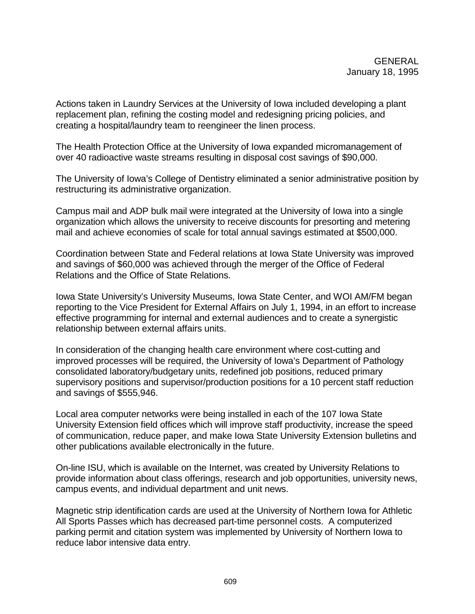Actions taken in Laundry Services at the University of Iowa included developing a plant replacement plan, refining the costing model and redesigning pricing policies, and creating a hospital/laundry team to reengineer the linen process.

The Health Protection Office at the University of Iowa expanded micromanagement of over 40 radioactive waste streams resulting in disposal cost savings of \$90,000.

The University of Iowa's College of Dentistry eliminated a senior administrative position by restructuring its administrative organization.

Campus mail and ADP bulk mail were integrated at the University of Iowa into a single organization which allows the university to receive discounts for presorting and metering mail and achieve economies of scale for total annual savings estimated at \$500,000.

Coordination between State and Federal relations at Iowa State University was improved and savings of \$60,000 was achieved through the merger of the Office of Federal Relations and the Office of State Relations.

Iowa State University's University Museums, Iowa State Center, and WOI AM/FM began reporting to the Vice President for External Affairs on July 1, 1994, in an effort to increase effective programming for internal and external audiences and to create a synergistic relationship between external affairs units.

In consideration of the changing health care environment where cost-cutting and improved processes will be required, the University of Iowa's Department of Pathology consolidated laboratory/budgetary units, redefined job positions, reduced primary supervisory positions and supervisor/production positions for a 10 percent staff reduction and savings of \$555,946.

Local area computer networks were being installed in each of the 107 Iowa State University Extension field offices which will improve staff productivity, increase the speed of communication, reduce paper, and make Iowa State University Extension bulletins and other publications available electronically in the future.

On-line ISU, which is available on the Internet, was created by University Relations to provide information about class offerings, research and job opportunities, university news, campus events, and individual department and unit news.

Magnetic strip identification cards are used at the University of Northern Iowa for Athletic All Sports Passes which has decreased part-time personnel costs. A computerized parking permit and citation system was implemented by University of Northern Iowa to reduce labor intensive data entry.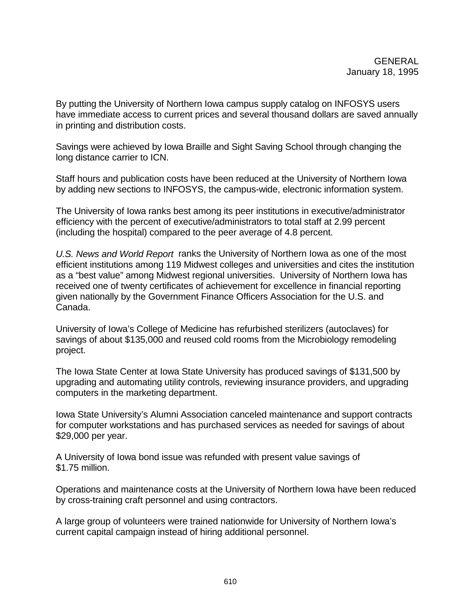By putting the University of Northern Iowa campus supply catalog on INFOSYS users have immediate access to current prices and several thousand dollars are saved annually in printing and distribution costs.

Savings were achieved by Iowa Braille and Sight Saving School through changing the long distance carrier to ICN.

Staff hours and publication costs have been reduced at the University of Northern Iowa by adding new sections to INFOSYS, the campus-wide, electronic information system.

The University of Iowa ranks best among its peer institutions in executive/administrator efficiency with the percent of executive/administrators to total staff at 2.99 percent (including the hospital) compared to the peer average of 4.8 percent.

*U.S. News and World Report* ranks the University of Northern Iowa as one of the most efficient institutions among 119 Midwest colleges and universities and cites the institution as a "best value" among Midwest regional universities.University of Northern Iowa has received one of twenty certificates of achievement for excellence in financial reporting given nationally by the Government Finance Officers Association for the U.S. and Canada.

University of Iowa's College of Medicine has refurbished sterilizers (autoclaves) for savings of about \$135,000 and reused cold rooms from the Microbiology remodeling project.

The Iowa State Center at Iowa State University has produced savings of \$131,500 by upgrading and automating utility controls, reviewing insurance providers, and upgrading computers in the marketing department.

Iowa State University's Alumni Association canceled maintenance and support contracts for computer workstations and has purchased services as needed for savings of about \$29,000 per year.

A University of Iowa bond issue was refunded with present value savings of \$1.75 million.

Operations and maintenance costs at the University of Northern Iowa have been reduced by cross-training craft personnel and using contractors.

A large group of volunteers were trained nationwide for University of Northern Iowa's current capital campaign instead of hiring additional personnel.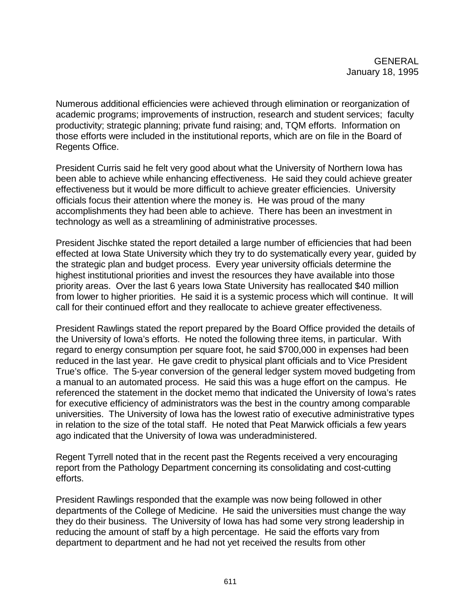Numerous additional efficiencies were achieved through elimination or reorganization of academic programs; improvements of instruction, research and student services; faculty productivity; strategic planning; private fund raising; and, TQM efforts. Information on those efforts were included in the institutional reports, which are on file in the Board of Regents Office.

President Curris said he felt very good about what the University of Northern Iowa has been able to achieve while enhancing effectiveness. He said they could achieve greater effectiveness but it would be more difficult to achieve greater efficiencies. University officials focus their attention where the money is. He was proud of the many accomplishments they had been able to achieve. There has been an investment in technology as well as a streamlining of administrative processes.

President Jischke stated the report detailed a large number of efficiencies that had been effected at Iowa State University which they try to do systematically every year, guided by the strategic plan and budget process. Every year university officials determine the highest institutional priorities and invest the resources they have available into those priority areas. Over the last 6 years Iowa State University has reallocated \$40 million from lower to higher priorities. He said it is a systemic process which will continue. It will call for their continued effort and they reallocate to achieve greater effectiveness.

President Rawlings stated the report prepared by the Board Office provided the details of the University of Iowa's efforts. He noted the following three items, in particular. With regard to energy consumption per square foot, he said \$700,000 in expenses had been reduced in the last year. He gave credit to physical plant officials and to Vice President True's office. The 5-year conversion of the general ledger system moved budgeting from a manual to an automated process. He said this was a huge effort on the campus. He referenced the statement in the docket memo that indicated the University of Iowa's rates for executive efficiency of administrators was the best in the country among comparable universities. The University of Iowa has the lowest ratio of executive administrative types in relation to the size of the total staff. He noted that Peat Marwick officials a few years ago indicated that the University of Iowa was underadministered.

Regent Tyrrell noted that in the recent past the Regents received a very encouraging report from the Pathology Department concerning its consolidating and cost-cutting efforts.

President Rawlings responded that the example was now being followed in other departments of the College of Medicine. He said the universities must change the way they do their business. The University of Iowa has had some very strong leadership in reducing the amount of staff by a high percentage. He said the efforts vary from department to department and he had not yet received the results from other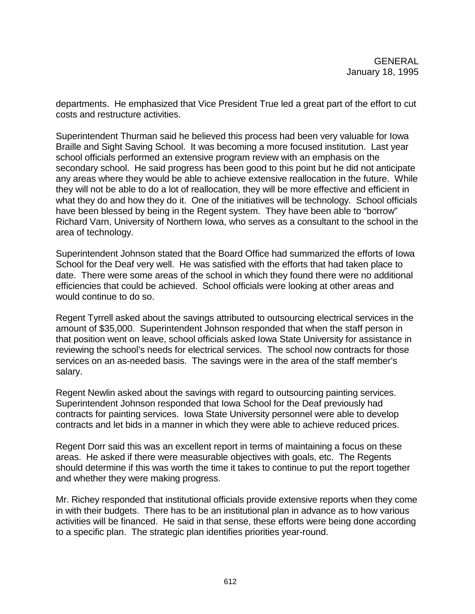departments. He emphasized that Vice President True led a great part of the effort to cut costs and restructure activities.

Superintendent Thurman said he believed this process had been very valuable for Iowa Braille and Sight Saving School. It was becoming a more focused institution. Last year school officials performed an extensive program review with an emphasis on the secondary school. He said progress has been good to this point but he did not anticipate any areas where they would be able to achieve extensive reallocation in the future. While they will not be able to do a lot of reallocation, they will be more effective and efficient in what they do and how they do it. One of the initiatives will be technology. School officials have been blessed by being in the Regent system. They have been able to "borrow" Richard Varn, University of Northern Iowa, who serves as a consultant to the school in the area of technology.

Superintendent Johnson stated that the Board Office had summarized the efforts of Iowa School for the Deaf very well. He was satisfied with the efforts that had taken place to date. There were some areas of the school in which they found there were no additional efficiencies that could be achieved. School officials were looking at other areas and would continue to do so.

Regent Tyrrell asked about the savings attributed to outsourcing electrical services in the amount of \$35,000. Superintendent Johnson responded that when the staff person in that position went on leave, school officials asked Iowa State University for assistance in reviewing the school's needs for electrical services. The school now contracts for those services on an as-needed basis. The savings were in the area of the staff member's salary.

Regent Newlin asked about the savings with regard to outsourcing painting services. Superintendent Johnson responded that Iowa School for the Deaf previously had contracts for painting services. Iowa State University personnel were able to develop contracts and let bids in a manner in which they were able to achieve reduced prices.

Regent Dorr said this was an excellent report in terms of maintaining a focus on these areas. He asked if there were measurable objectives with goals, etc. The Regents should determine if this was worth the time it takes to continue to put the report together and whether they were making progress.

Mr. Richey responded that institutional officials provide extensive reports when they come in with their budgets. There has to be an institutional plan in advance as to how various activities will be financed. He said in that sense, these efforts were being done according to a specific plan. The strategic plan identifies priorities year-round.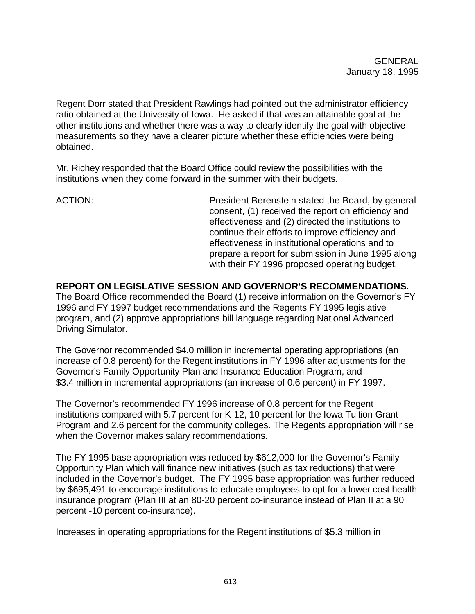Regent Dorr stated that President Rawlings had pointed out the administrator efficiency ratio obtained at the University of Iowa. He asked if that was an attainable goal at the other institutions and whether there was a way to clearly identify the goal with objective measurements so they have a clearer picture whether these efficiencies were being obtained.

Mr. Richey responded that the Board Office could review the possibilities with the institutions when they come forward in the summer with their budgets.

ACTION: President Berenstein stated the Board, by general consent, (1) received the report on efficiency and effectiveness and (2) directed the institutions to continue their efforts to improve efficiency and effectiveness in institutional operations and to prepare a report for submission in June 1995 along with their FY 1996 proposed operating budget.

**REPORT ON LEGISLATIVE SESSION AND GOVERNOR'S RECOMMENDATIONS**. The Board Office recommended the Board (1) receive information on the Governor's FY 1996 and FY 1997 budget recommendations and the Regents FY 1995 legislative program, and (2) approve appropriations bill language regarding National Advanced Driving Simulator.

The Governor recommended \$4.0 million in incremental operating appropriations (an increase of 0.8 percent) for the Regent institutions in FY 1996 after adjustments for the Governor's Family Opportunity Plan and Insurance Education Program, and \$3.4 million in incremental appropriations (an increase of 0.6 percent) in FY 1997.

The Governor's recommended FY 1996 increase of 0.8 percent for the Regent institutions compared with 5.7 percent for K-12, 10 percent for the Iowa Tuition Grant Program and 2.6 percent for the community colleges. The Regents appropriation will rise when the Governor makes salary recommendations.

The FY 1995 base appropriation was reduced by \$612,000 for the Governor's Family Opportunity Plan which will finance new initiatives (such as tax reductions) that were included in the Governor's budget. The FY 1995 base appropriation was further reduced by \$695,491 to encourage institutions to educate employees to opt for a lower cost health insurance program (Plan III at an 80-20 percent co-insurance instead of Plan II at a 90 percent -10 percent co-insurance).

Increases in operating appropriations for the Regent institutions of \$5.3 million in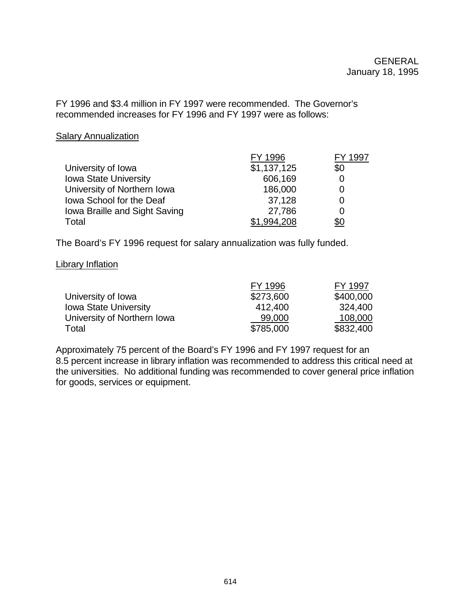FY 1996 and \$3.4 million in FY 1997 were recommended. The Governor's recommended increases for FY 1996 and FY 1997 were as follows:

#### **Salary Annualization**

|                               | FY 1996     | ∣997 |
|-------------------------------|-------------|------|
| University of Iowa            | \$1,137,125 | \$0  |
| <b>Iowa State University</b>  | 606,169     |      |
| University of Northern Iowa   | 186,000     | Ω    |
| Iowa School for the Deaf      | 37,128      | 0    |
| Iowa Braille and Sight Saving | 27,786      | 0    |
| Total                         | \$1.994.208 | \$0  |

The Board's FY 1996 request for salary annualization was fully funded.

#### Library Inflation

|                              | FY 1996   | FY 1997   |
|------------------------------|-----------|-----------|
| University of Iowa           | \$273,600 | \$400,000 |
| <b>Iowa State University</b> | 412,400   | 324,400   |
| University of Northern Iowa  | 99,000    | 108,000   |
| Total                        | \$785,000 | \$832,400 |

Approximately 75 percent of the Board's FY 1996 and FY 1997 request for an 8.5 percent increase in library inflation was recommended to address this critical need at the universities. No additional funding was recommended to cover general price inflation for goods, services or equipment.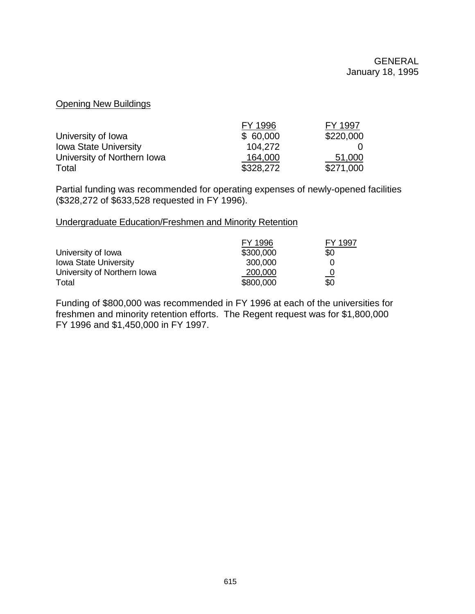## Opening New Buildings

|                              | FY 1996   | FY 1997   |
|------------------------------|-----------|-----------|
| University of Iowa           | \$60,000  | \$220,000 |
| <b>Iowa State University</b> | 104.272   |           |
| University of Northern Iowa  | 164,000   | 51,000    |
| Total                        | \$328,272 | \$271,000 |

Partial funding was recommended for operating expenses of newly-opened facilities (\$328,272 of \$633,528 requested in FY 1996).

#### Undergraduate Education/Freshmen and Minority Retention

|                              | FY 1996   | FY 1997 |
|------------------------------|-----------|---------|
| University of Iowa           | \$300,000 | \$0     |
| <b>Iowa State University</b> | 300,000   |         |
| University of Northern Iowa  | 200,000   |         |
| Total                        | \$800,000 | \$0     |

Funding of \$800,000 was recommended in FY 1996 at each of the universities for freshmen and minority retention efforts. The Regent request was for \$1,800,000 FY 1996 and \$1,450,000 in FY 1997.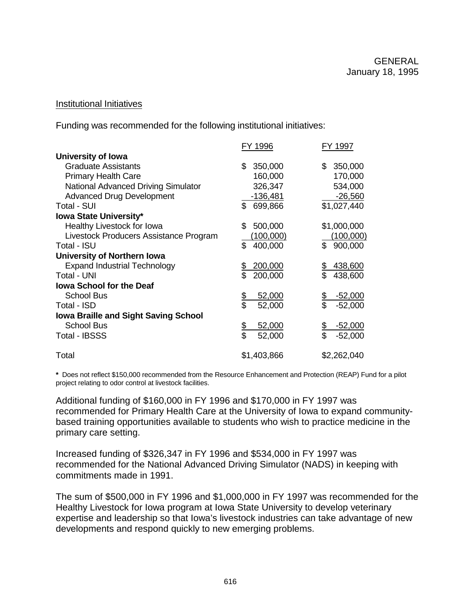#### Institutional Initiatives

Funding was recommended for the following institutional initiatives:

|                                             | FY 1996                   | FY 1997               |
|---------------------------------------------|---------------------------|-----------------------|
| University of Iowa                          |                           |                       |
| <b>Graduate Assistants</b>                  | 350,000<br>\$             | 350,000<br>\$         |
| <b>Primary Health Care</b>                  | 160,000                   | 170,000               |
| <b>National Advanced Driving Simulator</b>  | 326,347                   | 534,000               |
| <b>Advanced Drug Development</b>            | $-136,481$                | $-26,560$             |
| <b>Total - SUI</b>                          | \$ 699,866                | \$1,027,440           |
| <b>Iowa State University*</b>               |                           |                       |
| Healthy Livestock for Iowa                  | \$<br>500,000             | \$1,000,000           |
| Livestock Producers Assistance Program      | (100,000)                 | (100,000)             |
| Total - ISU                                 | \$.<br>400,000            | \$<br>900,000         |
| University of Northern Iowa                 |                           |                       |
| <b>Expand Industrial Technology</b>         | 200,000<br><u>\$</u><br>Տ | 438,600               |
| <b>Total - UNI</b>                          | 200,000                   | 438,600               |
| <b>Iowa School for the Deaf</b>             |                           |                       |
| <b>School Bus</b>                           | \$<br>\$<br>52,000        | $-52,000$             |
| Total - ISD                                 | 52,000                    | $-52,000$             |
| <b>Iowa Braille and Sight Saving School</b> |                           |                       |
| <b>School Bus</b>                           | <u>\$</u><br>\$<br>52,000 | <u>-52,000</u>        |
| <b>Total - IBSSS</b>                        | 52,000                    | \$<br>\$<br>$-52,000$ |
| Total                                       | \$1,403,866               | \$2,262,040           |

**\*** Does not reflect \$150,000 recommended from the Resource Enhancement and Protection (REAP) Fund for a pilot project relating to odor control at livestock facilities.

Additional funding of \$160,000 in FY 1996 and \$170,000 in FY 1997 was recommended for Primary Health Care at the University of Iowa to expand communitybased training opportunities available to students who wish to practice medicine in the primary care setting.

Increased funding of \$326,347 in FY 1996 and \$534,000 in FY 1997 was recommended for the National Advanced Driving Simulator (NADS) in keeping with commitments made in 1991.

The sum of \$500,000 in FY 1996 and \$1,000,000 in FY 1997 was recommended for the Healthy Livestock for Iowa program at Iowa State University to develop veterinary expertise and leadership so that Iowa's livestock industries can take advantage of new developments and respond quickly to new emerging problems.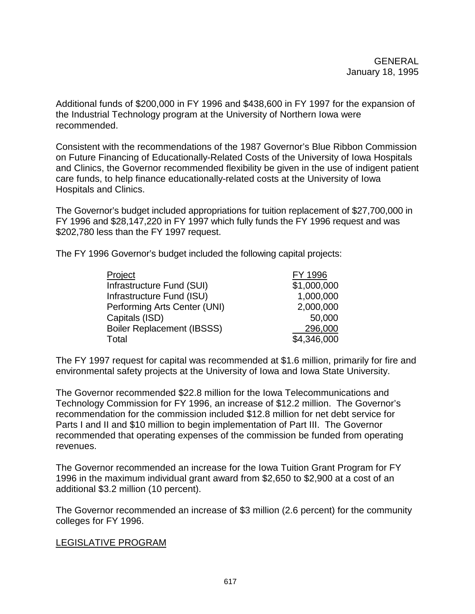Additional funds of \$200,000 in FY 1996 and \$438,600 in FY 1997 for the expansion of the Industrial Technology program at the University of Northern Iowa were recommended.

Consistent with the recommendations of the 1987 Governor's Blue Ribbon Commission on Future Financing of Educationally-Related Costs of the University of Iowa Hospitals and Clinics, the Governor recommended flexibility be given in the use of indigent patient care funds, to help finance educationally-related costs at the University of Iowa Hospitals and Clinics.

The Governor's budget included appropriations for tuition replacement of \$27,700,000 in FY 1996 and \$28,147,220 in FY 1997 which fully funds the FY 1996 request and was \$202,780 less than the FY 1997 request.

The FY 1996 Governor's budget included the following capital projects:

| Project                           | FY 1996     |
|-----------------------------------|-------------|
| Infrastructure Fund (SUI)         | \$1,000,000 |
| Infrastructure Fund (ISU)         | 1,000,000   |
| Performing Arts Center (UNI)      | 2,000,000   |
| Capitals (ISD)                    | 50,000      |
| <b>Boiler Replacement (IBSSS)</b> | 296,000     |
| Total                             | \$4,346,000 |

The FY 1997 request for capital was recommended at \$1.6 million, primarily for fire and environmental safety projects at the University of Iowa and Iowa State University.

The Governor recommended \$22.8 million for the Iowa Telecommunications and Technology Commission for FY 1996, an increase of \$12.2 million. The Governor's recommendation for the commission included \$12.8 million for net debt service for Parts I and II and \$10 million to begin implementation of Part III. The Governor recommended that operating expenses of the commission be funded from operating revenues.

The Governor recommended an increase for the Iowa Tuition Grant Program for FY 1996 in the maximum individual grant award from \$2,650 to \$2,900 at a cost of an additional \$3.2 million (10 percent).

The Governor recommended an increase of \$3 million (2.6 percent) for the community colleges for FY 1996.

## LEGISLATIVE PROGRAM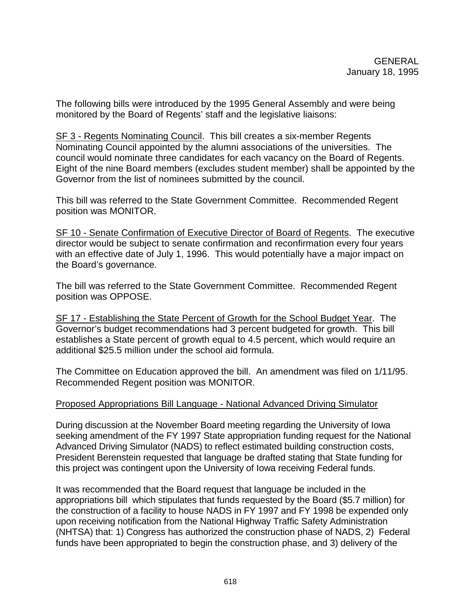The following bills were introduced by the 1995 General Assembly and were being monitored by the Board of Regents' staff and the legislative liaisons:

SF 3 - Regents Nominating Council. This bill creates a six-member Regents Nominating Council appointed by the alumni associations of the universities. The council would nominate three candidates for each vacancy on the Board of Regents. Eight of the nine Board members (excludes student member) shall be appointed by the Governor from the list of nominees submitted by the council.

This bill was referred to the State Government Committee. Recommended Regent position was MONITOR.

SF 10 - Senate Confirmation of Executive Director of Board of Regents. The executive director would be subject to senate confirmation and reconfirmation every four years with an effective date of July 1, 1996. This would potentially have a major impact on the Board's governance.

The bill was referred to the State Government Committee. Recommended Regent position was OPPOSE.

SF 17 - Establishing the State Percent of Growth for the School Budget Year. The Governor's budget recommendations had 3 percent budgeted for growth. This bill establishes a State percent of growth equal to 4.5 percent, which would require an additional \$25.5 million under the school aid formula.

The Committee on Education approved the bill. An amendment was filed on 1/11/95. Recommended Regent position was MONITOR.

#### Proposed Appropriations Bill Language - National Advanced Driving Simulator

During discussion at the November Board meeting regarding the University of Iowa seeking amendment of the FY 1997 State appropriation funding request for the National Advanced Driving Simulator (NADS) to reflect estimated building construction costs, President Berenstein requested that language be drafted stating that State funding for this project was contingent upon the University of Iowa receiving Federal funds.

It was recommended that the Board request that language be included in the appropriations bill which stipulates that funds requested by the Board (\$5.7 million) for the construction of a facility to house NADS in FY 1997 and FY 1998 be expended only upon receiving notification from the National Highway Traffic Safety Administration (NHTSA) that: 1) Congress has authorized the construction phase of NADS, 2) Federal funds have been appropriated to begin the construction phase, and 3) delivery of the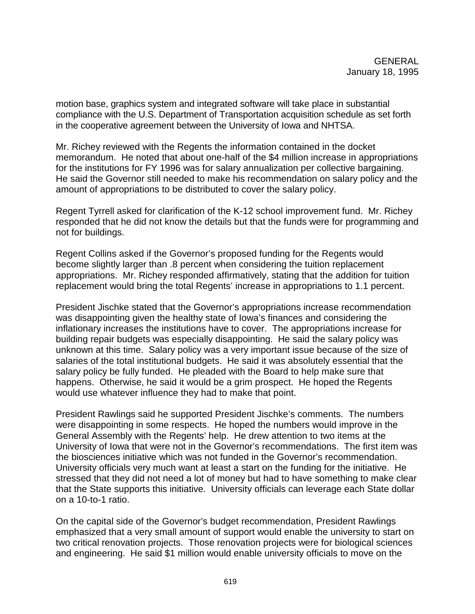motion base, graphics system and integrated software will take place in substantial compliance with the U.S. Department of Transportation acquisition schedule as set forth in the cooperative agreement between the University of Iowa and NHTSA.

Mr. Richey reviewed with the Regents the information contained in the docket memorandum. He noted that about one-half of the \$4 million increase in appropriations for the institutions for FY 1996 was for salary annualization per collective bargaining. He said the Governor still needed to make his recommendation on salary policy and the amount of appropriations to be distributed to cover the salary policy.

Regent Tyrrell asked for clarification of the K-12 school improvement fund. Mr. Richey responded that he did not know the details but that the funds were for programming and not for buildings.

Regent Collins asked if the Governor's proposed funding for the Regents would become slightly larger than .8 percent when considering the tuition replacement appropriations. Mr. Richey responded affirmatively, stating that the addition for tuition replacement would bring the total Regents' increase in appropriations to 1.1 percent.

President Jischke stated that the Governor's appropriations increase recommendation was disappointing given the healthy state of Iowa's finances and considering the inflationary increases the institutions have to cover. The appropriations increase for building repair budgets was especially disappointing. He said the salary policy was unknown at this time. Salary policy was a very important issue because of the size of salaries of the total institutional budgets. He said it was absolutely essential that the salary policy be fully funded. He pleaded with the Board to help make sure that happens. Otherwise, he said it would be a grim prospect. He hoped the Regents would use whatever influence they had to make that point.

President Rawlings said he supported President Jischke's comments. The numbers were disappointing in some respects. He hoped the numbers would improve in the General Assembly with the Regents' help. He drew attention to two items at the University of Iowa that were not in the Governor's recommendations. The first item was the biosciences initiative which was not funded in the Governor's recommendation. University officials very much want at least a start on the funding for the initiative. He stressed that they did not need a lot of money but had to have something to make clear that the State supports this initiative. University officials can leverage each State dollar on a 10-to-1 ratio.

On the capital side of the Governor's budget recommendation, President Rawlings emphasized that a very small amount of support would enable the university to start on two critical renovation projects. Those renovation projects were for biological sciences and engineering. He said \$1 million would enable university officials to move on the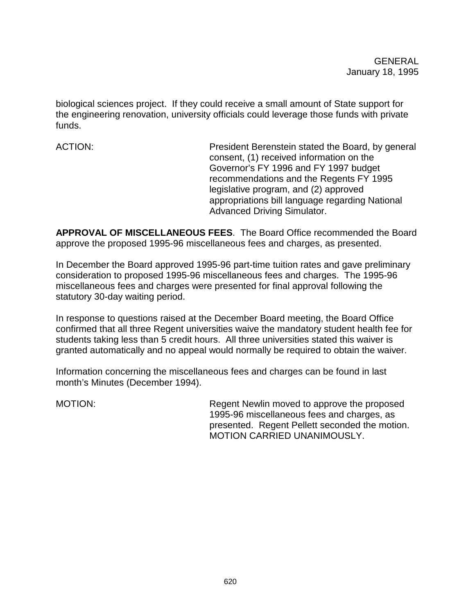biological sciences project. If they could receive a small amount of State support for the engineering renovation, university officials could leverage those funds with private funds.

ACTION: President Berenstein stated the Board, by general consent, (1) received information on the Governor's FY 1996 and FY 1997 budget recommendations and the Regents FY 1995 legislative program, and (2) approved appropriations bill language regarding National Advanced Driving Simulator.

**APPROVAL OF MISCELLANEOUS FEES**. The Board Office recommended the Board approve the proposed 1995-96 miscellaneous fees and charges, as presented.

In December the Board approved 1995-96 part-time tuition rates and gave preliminary consideration to proposed 1995-96 miscellaneous fees and charges. The 1995-96 miscellaneous fees and charges were presented for final approval following the statutory 30-day waiting period.

In response to questions raised at the December Board meeting, the Board Office confirmed that all three Regent universities waive the mandatory student health fee for students taking less than 5 credit hours. All three universities stated this waiver is granted automatically and no appeal would normally be required to obtain the waiver.

Information concerning the miscellaneous fees and charges can be found in last month's Minutes (December 1994).

MOTION: Regent Newlin moved to approve the proposed 1995-96 miscellaneous fees and charges, as presented. Regent Pellett seconded the motion. MOTION CARRIED UNANIMOUSLY.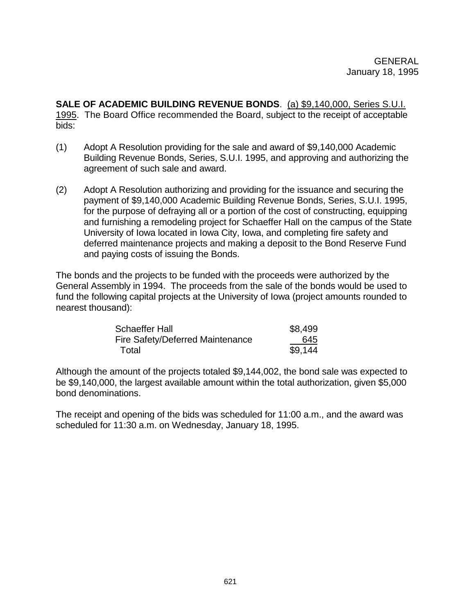**SALE OF ACADEMIC BUILDING REVENUE BONDS**. (a) \$9,140,000, Series S.U.I. 1995. The Board Office recommended the Board, subject to the receipt of acceptable bids:

- (1) Adopt A Resolution providing for the sale and award of \$9,140,000 Academic Building Revenue Bonds, Series, S.U.I. 1995, and approving and authorizing the agreement of such sale and award.
- (2) Adopt A Resolution authorizing and providing for the issuance and securing the payment of \$9,140,000 Academic Building Revenue Bonds, Series, S.U.I. 1995, for the purpose of defraying all or a portion of the cost of constructing, equipping and furnishing a remodeling project for Schaeffer Hall on the campus of the State University of Iowa located in Iowa City, Iowa, and completing fire safety and deferred maintenance projects and making a deposit to the Bond Reserve Fund and paying costs of issuing the Bonds.

The bonds and the projects to be funded with the proceeds were authorized by the General Assembly in 1994. The proceeds from the sale of the bonds would be used to fund the following capital projects at the University of Iowa (project amounts rounded to nearest thousand):

| <b>Schaeffer Hall</b>            | \$8,499 |
|----------------------------------|---------|
| Fire Safety/Deferred Maintenance | 645     |
| Total                            | \$9,144 |

Although the amount of the projects totaled \$9,144,002, the bond sale was expected to be \$9,140,000, the largest available amount within the total authorization, given \$5,000 bond denominations.

The receipt and opening of the bids was scheduled for 11:00 a.m., and the award was scheduled for 11:30 a.m. on Wednesday, January 18, 1995.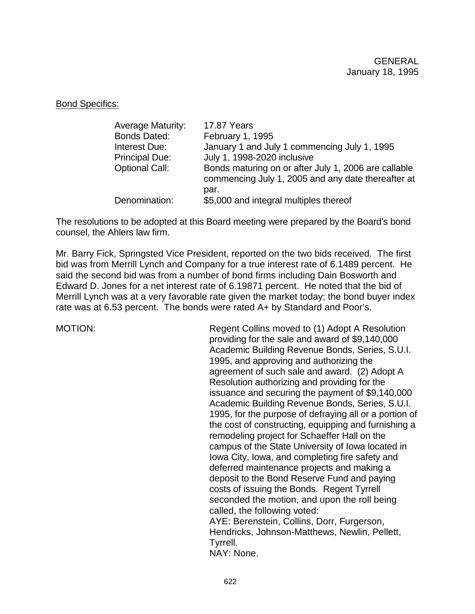#### Bond Specifics:

| <b>Average Maturity:</b> | 17.87 Years                                                                                                |
|--------------------------|------------------------------------------------------------------------------------------------------------|
| <b>Bonds Dated:</b>      | February 1, 1995                                                                                           |
| Interest Due:            | January 1 and July 1 commencing July 1, 1995                                                               |
| <b>Principal Due:</b>    | July 1, 1998-2020 inclusive                                                                                |
| <b>Optional Call:</b>    | Bonds maturing on or after July 1, 2006 are callable<br>commencing July 1, 2005 and any date thereafter at |
|                          | par.                                                                                                       |
| Denomination:            | \$5,000 and integral multiples thereof                                                                     |

The resolutions to be adopted at this Board meeting were prepared by the Board's bond counsel, the Ahlers law firm.

Mr. Barry Fick, Springsted Vice President, reported on the two bids received. The first bid was from Merrill Lynch and Company for a true interest rate of 6.1489 percent. He said the second bid was from a number of bond firms including Dain Bosworth and Edward D. Jones for a net interest rate of 6.19871 percent. He noted that the bid of Merrill Lynch was at a very favorable rate given the market today; the bond buyer index rate was at 6.53 percent. The bonds were rated A+ by Standard and Poor's.

MOTION: Regent Collins moved to (1) Adopt A Resolution providing for the sale and award of \$9,140,000 Academic Building Revenue Bonds, Series, S.U.I. 1995, and approving and authorizing the agreement of such sale and award. (2) Adopt A Resolution authorizing and providing for the issuance and securing the payment of \$9,140,000 Academic Building Revenue Bonds, Series, S.U.I. 1995, for the purpose of defraying all or a portion of the cost of constructing, equipping and furnishing a remodeling project for Schaeffer Hall on the campus of the State University of Iowa located in Iowa City, Iowa, and completing fire safety and deferred maintenance projects and making a deposit to the Bond Reserve Fund and paying costs of issuing the Bonds. Regent Tyrrell seconded the motion, and upon the roll being called, the following voted: AYE: Berenstein, Collins, Dorr, Furgerson, Hendricks, Johnson-Matthews, Newlin, Pellett, Tyrrell. NAY: None.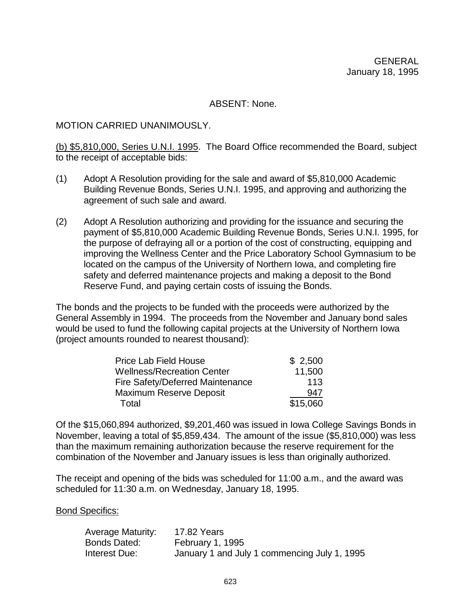ABSENT: None.

#### MOTION CARRIED UNANIMOUSLY.

(b) \$5,810,000, Series U.N.I. 1995. The Board Office recommended the Board, subject to the receipt of acceptable bids:

- (1) Adopt A Resolution providing for the sale and award of \$5,810,000 Academic Building Revenue Bonds, Series U.N.I. 1995, and approving and authorizing the agreement of such sale and award.
- (2) Adopt A Resolution authorizing and providing for the issuance and securing the payment of \$5,810,000 Academic Building Revenue Bonds, Series U.N.I. 1995, for the purpose of defraying all or a portion of the cost of constructing, equipping and improving the Wellness Center and the Price Laboratory School Gymnasium to be located on the campus of the University of Northern Iowa, and completing fire safety and deferred maintenance projects and making a deposit to the Bond Reserve Fund, and paying certain costs of issuing the Bonds.

The bonds and the projects to be funded with the proceeds were authorized by the General Assembly in 1994. The proceeds from the November and January bond sales would be used to fund the following capital projects at the University of Northern Iowa (project amounts rounded to nearest thousand):

| <b>Price Lab Field House</b>      | \$2,500  |
|-----------------------------------|----------|
| <b>Wellness/Recreation Center</b> | 11,500   |
| Fire Safety/Deferred Maintenance  | 113      |
| <b>Maximum Reserve Deposit</b>    | 947      |
| Total                             | \$15,060 |

Of the \$15,060,894 authorized, \$9,201,460 was issued in Iowa College Savings Bonds in November, leaving a total of \$5,859,434. The amount of the issue (\$5,810,000) was less than the maximum remaining authorization because the reserve requirement for the combination of the November and January issues is less than originally authorized.

The receipt and opening of the bids was scheduled for 11:00 a.m., and the award was scheduled for 11:30 a.m. on Wednesday, January 18, 1995.

Bond Specifics:

| Average Maturity: | 17.82 Years                                  |
|-------------------|----------------------------------------------|
| Bonds Dated:      | February 1, 1995                             |
| Interest Due:     | January 1 and July 1 commencing July 1, 1995 |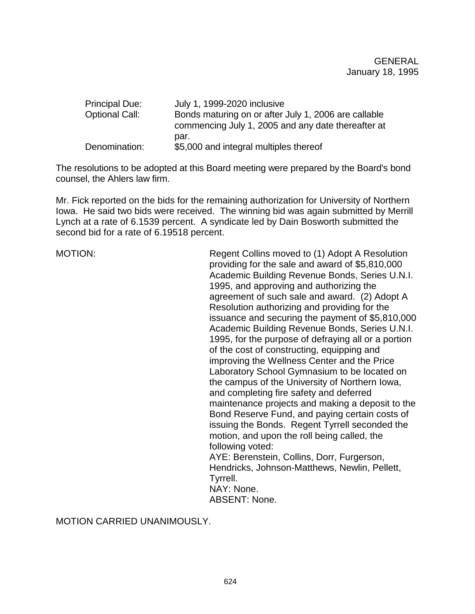| <b>Principal Due:</b> | July 1, 1999-2020 inclusive                          |
|-----------------------|------------------------------------------------------|
| <b>Optional Call:</b> | Bonds maturing on or after July 1, 2006 are callable |
|                       | commencing July 1, 2005 and any date thereafter at   |
|                       | par.                                                 |
| Denomination:         | \$5,000 and integral multiples thereof               |

The resolutions to be adopted at this Board meeting were prepared by the Board's bond counsel, the Ahlers law firm.

Mr. Fick reported on the bids for the remaining authorization for University of Northern Iowa. He said two bids were received. The winning bid was again submitted by Merrill Lynch at a rate of 6.1539 percent. A syndicate led by Dain Bosworth submitted the second bid for a rate of 6.19518 percent.

MOTION: Regent Collins moved to (1) Adopt A Resolution providing for the sale and award of \$5,810,000 Academic Building Revenue Bonds, Series U.N.I. 1995, and approving and authorizing the agreement of such sale and award. (2) Adopt A Resolution authorizing and providing for the issuance and securing the payment of \$5,810,000 Academic Building Revenue Bonds, Series U.N.I. 1995, for the purpose of defraying all or a portion of the cost of constructing, equipping and improving the Wellness Center and the Price Laboratory School Gymnasium to be located on the campus of the University of Northern Iowa, and completing fire safety and deferred maintenance projects and making a deposit to the Bond Reserve Fund, and paying certain costs of issuing the Bonds. Regent Tyrrell seconded the motion, and upon the roll being called, the following voted: AYE: Berenstein, Collins, Dorr, Furgerson, Hendricks, Johnson-Matthews, Newlin, Pellett, Tyrrell. NAY: None.

ABSENT: None.

MOTION CARRIED UNANIMOUSLY.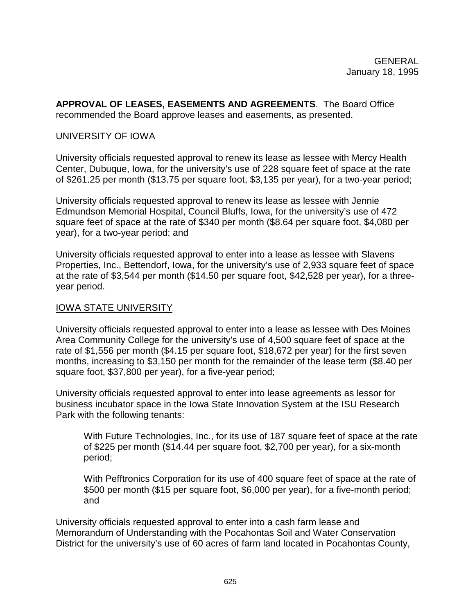**APPROVAL OF LEASES, EASEMENTS AND AGREEMENTS**. The Board Office recommended the Board approve leases and easements, as presented.

#### UNIVERSITY OF IOWA

University officials requested approval to renew its lease as lessee with Mercy Health Center, Dubuque, Iowa, for the university's use of 228 square feet of space at the rate of \$261.25 per month (\$13.75 per square foot, \$3,135 per year), for a two-year period;

University officials requested approval to renew its lease as lessee with Jennie Edmundson Memorial Hospital, Council Bluffs, Iowa, for the university's use of 472 square feet of space at the rate of \$340 per month (\$8.64 per square foot, \$4,080 per year), for a two-year period; and

University officials requested approval to enter into a lease as lessee with Slavens Properties, Inc., Bettendorf, Iowa, for the university's use of 2,933 square feet of space at the rate of \$3,544 per month (\$14.50 per square foot, \$42,528 per year), for a threeyear period.

#### IOWA STATE UNIVERSITY

University officials requested approval to enter into a lease as lessee with Des Moines Area Community College for the university's use of 4,500 square feet of space at the rate of \$1,556 per month (\$4.15 per square foot, \$18,672 per year) for the first seven months, increasing to \$3,150 per month for the remainder of the lease term (\$8.40 per square foot, \$37,800 per year), for a five-year period;

University officials requested approval to enter into lease agreements as lessor for business incubator space in the Iowa State Innovation System at the ISU Research Park with the following tenants:

With Future Technologies, Inc., for its use of 187 square feet of space at the rate of \$225 per month (\$14.44 per square foot, \$2,700 per year), for a six-month period;

With Pefftronics Corporation for its use of 400 square feet of space at the rate of \$500 per month (\$15 per square foot, \$6,000 per year), for a five-month period; and

University officials requested approval to enter into a cash farm lease and Memorandum of Understanding with the Pocahontas Soil and Water Conservation District for the university's use of 60 acres of farm land located in Pocahontas County,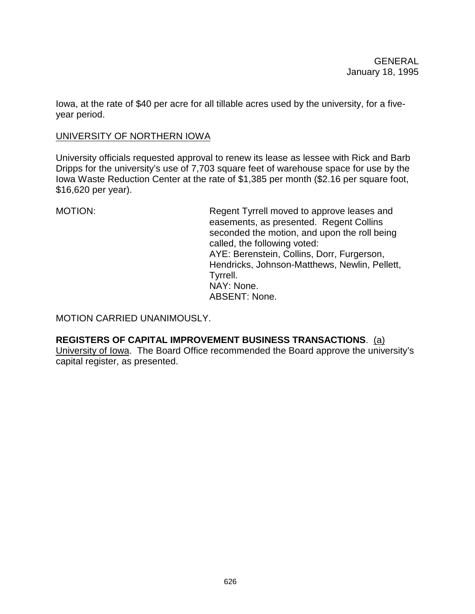Iowa, at the rate of \$40 per acre for all tillable acres used by the university, for a fiveyear period.

## UNIVERSITY OF NORTHERN IOWA

University officials requested approval to renew its lease as lessee with Rick and Barb Dripps for the university's use of 7,703 square feet of warehouse space for use by the Iowa Waste Reduction Center at the rate of \$1,385 per month (\$2.16 per square foot, \$16,620 per year).

MOTION: Regent Tyrrell moved to approve leases and easements, as presented. Regent Collins seconded the motion, and upon the roll being called, the following voted: AYE: Berenstein, Collins, Dorr, Furgerson, Hendricks, Johnson-Matthews, Newlin, Pellett, Tyrrell. NAY: None. ABSENT: None.

MOTION CARRIED UNANIMOUSLY.

**REGISTERS OF CAPITAL IMPROVEMENT BUSINESS TRANSACTIONS**. (a) University of Iowa. The Board Office recommended the Board approve the university's capital register, as presented.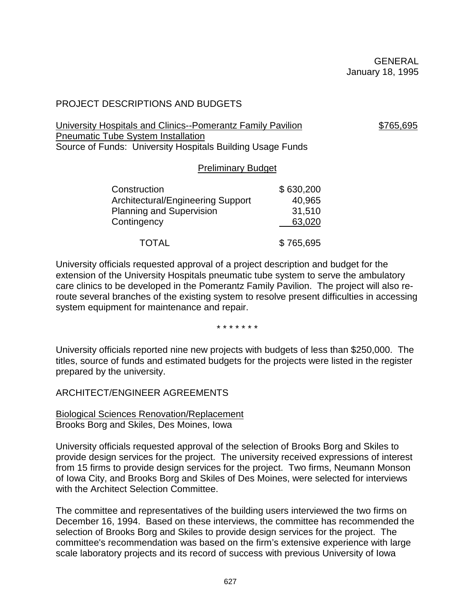## PROJECT DESCRIPTIONS AND BUDGETS

University Hospitals and Clinics--Pomerantz Family Pavilion  $$765,695$ Pneumatic Tube System Installation Source of Funds: University Hospitals Building Usage Funds

| Construction                             | \$630,200 |
|------------------------------------------|-----------|
| <b>Architectural/Engineering Support</b> | 40,965    |
| <b>Planning and Supervision</b>          | 31,510    |
| Contingency                              | 63,020    |
| TOTAL                                    | \$765,695 |

University officials requested approval of a project description and budget for the extension of the University Hospitals pneumatic tube system to serve the ambulatory care clinics to be developed in the Pomerantz Family Pavilion. The project will also reroute several branches of the existing system to resolve present difficulties in accessing system equipment for maintenance and repair.

Preliminary Budget

\* \* \* \* \* \* \*

University officials reported nine new projects with budgets of less than \$250,000. The titles, source of funds and estimated budgets for the projects were listed in the register prepared by the university.

ARCHITECT/ENGINEER AGREEMENTS

Biological Sciences Renovation/Replacement Brooks Borg and Skiles, Des Moines, Iowa

University officials requested approval of the selection of Brooks Borg and Skiles to provide design services for the project. The university received expressions of interest from 15 firms to provide design services for the project. Two firms, Neumann Monson of Iowa City, and Brooks Borg and Skiles of Des Moines, were selected for interviews with the Architect Selection Committee.

The committee and representatives of the building users interviewed the two firms on December 16, 1994. Based on these interviews, the committee has recommended the selection of Brooks Borg and Skiles to provide design services for the project. The committee's recommendation was based on the firm's extensive experience with large scale laboratory projects and its record of success with previous University of Iowa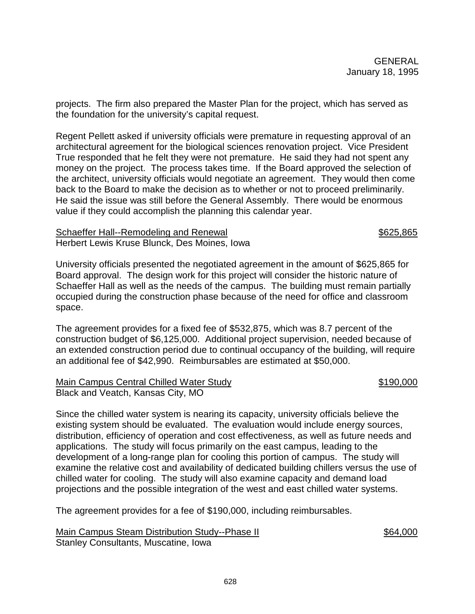projects. The firm also prepared the Master Plan for the project, which has served as the foundation for the university's capital request.

Regent Pellett asked if university officials were premature in requesting approval of an architectural agreement for the biological sciences renovation project. Vice President True responded that he felt they were not premature. He said they had not spent any money on the project. The process takes time. If the Board approved the selection of the architect, university officials would negotiate an agreement. They would then come back to the Board to make the decision as to whether or not to proceed preliminarily. He said the issue was still before the General Assembly. There would be enormous value if they could accomplish the planning this calendar year.

#### Schaeffer Hall--Remodeling and Renewal \$625,865 Herbert Lewis Kruse Blunck, Des Moines, Iowa

University officials presented the negotiated agreement in the amount of \$625,865 for Board approval. The design work for this project will consider the historic nature of Schaeffer Hall as well as the needs of the campus. The building must remain partially occupied during the construction phase because of the need for office and classroom space.

The agreement provides for a fixed fee of \$532,875, which was 8.7 percent of the construction budget of \$6,125,000. Additional project supervision, needed because of an extended construction period due to continual occupancy of the building, will require an additional fee of \$42,990. Reimbursables are estimated at \$50,000.

#### Main Campus Central Chilled Water Study **\$190,000** \$190,000 Black and Veatch, Kansas City, MO

Since the chilled water system is nearing its capacity, university officials believe the existing system should be evaluated. The evaluation would include energy sources, distribution, efficiency of operation and cost effectiveness, as well as future needs and applications. The study will focus primarily on the east campus, leading to the development of a long-range plan for cooling this portion of campus. The study will examine the relative cost and availability of dedicated building chillers versus the use of chilled water for cooling. The study will also examine capacity and demand load projections and the possible integration of the west and east chilled water systems.

The agreement provides for a fee of \$190,000, including reimbursables.

Main Campus Steam Distribution Study--Phase II  $$64,000$ Stanley Consultants, Muscatine, Iowa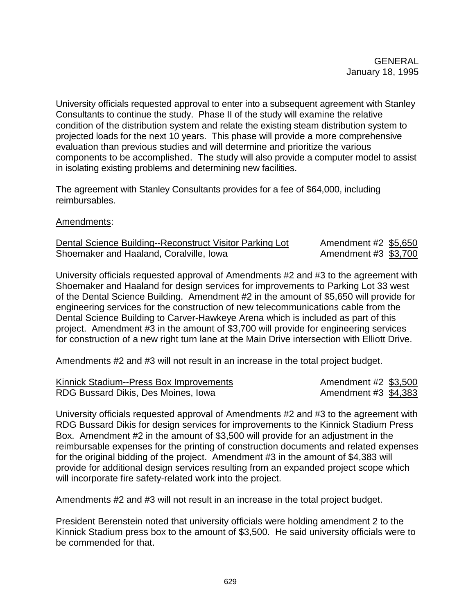University officials requested approval to enter into a subsequent agreement with Stanley Consultants to continue the study. Phase II of the study will examine the relative condition of the distribution system and relate the existing steam distribution system to projected loads for the next 10 years. This phase will provide a more comprehensive evaluation than previous studies and will determine and prioritize the various components to be accomplished. The study will also provide a computer model to assist in isolating existing problems and determining new facilities.

The agreement with Stanley Consultants provides for a fee of \$64,000, including reimbursables.

## Amendments:

| Dental Science Building--Reconstruct Visitor Parking Lot | Amendment #2 \$5,650 |  |
|----------------------------------------------------------|----------------------|--|
| Shoemaker and Haaland, Coralville, Iowa                  | Amendment #3 \$3,700 |  |

University officials requested approval of Amendments #2 and #3 to the agreement with Shoemaker and Haaland for design services for improvements to Parking Lot 33 west of the Dental Science Building. Amendment #2 in the amount of \$5,650 will provide for engineering services for the construction of new telecommunications cable from the Dental Science Building to Carver-Hawkeye Arena which is included as part of this project. Amendment #3 in the amount of \$3,700 will provide for engineering services for construction of a new right turn lane at the Main Drive intersection with Elliott Drive.

Amendments #2 and #3 will not result in an increase in the total project budget.

| Kinnick Stadium--Press Box Improvements | Amendment #2 \$3,500 |  |
|-----------------------------------------|----------------------|--|
| RDG Bussard Dikis, Des Moines, Iowa     | Amendment #3 \$4,383 |  |

University officials requested approval of Amendments #2 and #3 to the agreement with RDG Bussard Dikis for design services for improvements to the Kinnick Stadium Press Box. Amendment #2 in the amount of \$3,500 will provide for an adjustment in the reimbursable expenses for the printing of construction documents and related expenses for the original bidding of the project. Amendment #3 in the amount of \$4,383 will provide for additional design services resulting from an expanded project scope which will incorporate fire safety-related work into the project.

Amendments #2 and #3 will not result in an increase in the total project budget.

President Berenstein noted that university officials were holding amendment 2 to the Kinnick Stadium press box to the amount of \$3,500. He said university officials were to be commended for that.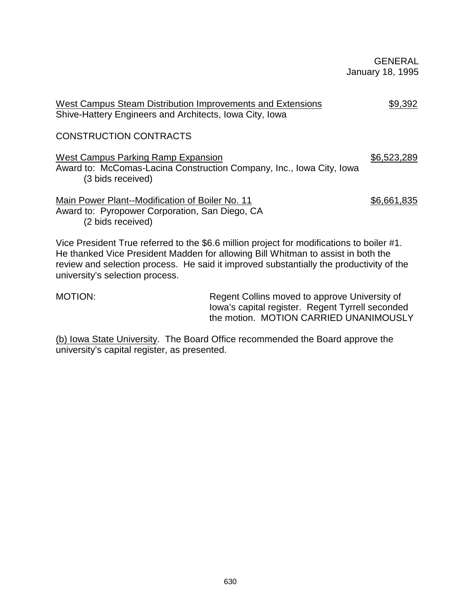GENERAL January 18, 1995

| West Campus Steam Distribution Improvements and Extensions<br>Shive-Hattery Engineers and Architects, Iowa City, Iowa                                                                                                                                                                                       | \$9,392     |
|-------------------------------------------------------------------------------------------------------------------------------------------------------------------------------------------------------------------------------------------------------------------------------------------------------------|-------------|
| <b>CONSTRUCTION CONTRACTS</b>                                                                                                                                                                                                                                                                               |             |
| West Campus Parking Ramp Expansion<br>Award to: McComas-Lacina Construction Company, Inc., Iowa City, Iowa<br>(3 bids received)                                                                                                                                                                             | \$6,523,289 |
| Main Power Plant--Modification of Boiler No. 11<br>Award to: Pyropower Corporation, San Diego, CA<br>(2 bids received)                                                                                                                                                                                      | \$6,661,835 |
| Vice President True referred to the \$6.6 million project for modifications to boiler #1.<br>He thanked Vice President Madden for allowing Bill Whitman to assist in both the<br>review and selection process. He said it improved substantially the productivity of the<br>university's selection process. |             |

MOTION: Regent Collins moved to approve University of Iowa's capital register. Regent Tyrrell seconded the motion. MOTION CARRIED UNANIMOUSLY

(b) Iowa State University. The Board Office recommended the Board approve the university's capital register, as presented.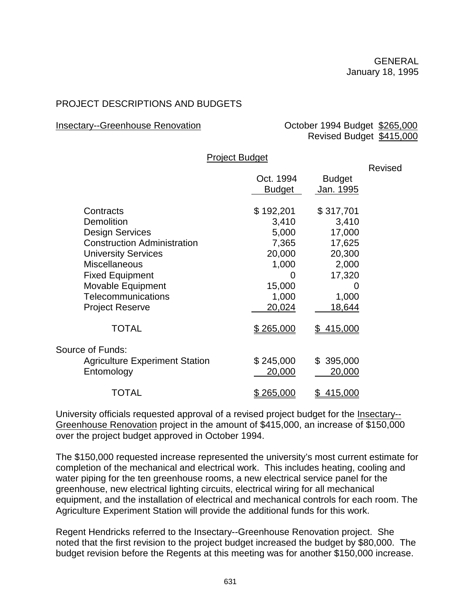# PROJECT DESCRIPTIONS AND BUDGETS

## Insectary--Greenhouse Renovation **Community** October 1994 Budget \$265,000

Revised Budget \$415,000

|                                       | <b>FIGUE DUUGE</b> |                  |         |
|---------------------------------------|--------------------|------------------|---------|
|                                       |                    |                  | Revised |
|                                       | Oct. 1994          | <b>Budget</b>    |         |
|                                       | <b>Budget</b>      | <u>Jan. 1995</u> |         |
|                                       |                    |                  |         |
| Contracts                             | \$192,201          | \$317,701        |         |
| <b>Demolition</b>                     | 3,410              | 3,410            |         |
| <b>Design Services</b>                | 5,000              | 17,000           |         |
| <b>Construction Administration</b>    | 7,365              | 17,625           |         |
| <b>University Services</b>            | 20,000             | 20,300           |         |
| <b>Miscellaneous</b>                  | 1,000              | 2,000            |         |
| <b>Fixed Equipment</b>                | 0                  | 17,320           |         |
| Movable Equipment                     | 15,000             | 0                |         |
| Telecommunications                    | 1,000              | 1,000            |         |
| <b>Project Reserve</b>                | 20,024             | 18,644           |         |
|                                       |                    |                  |         |
| <b>TOTAL</b>                          | \$265,000          | \$415,000        |         |
|                                       |                    |                  |         |
| Source of Funds:                      |                    |                  |         |
| <b>Agriculture Experiment Station</b> | \$245,000          | \$395,000        |         |
| Entomology                            | 20,000             | 20,000           |         |
|                                       |                    |                  |         |
| TOTAL                                 | \$265,000          | 415,000<br>\$    |         |

Project Budget

University officials requested approval of a revised project budget for the Insectary-- Greenhouse Renovation project in the amount of \$415,000, an increase of \$150,000 over the project budget approved in October 1994.

The \$150,000 requested increase represented the university's most current estimate for completion of the mechanical and electrical work. This includes heating, cooling and water piping for the ten greenhouse rooms, a new electrical service panel for the greenhouse, new electrical lighting circuits, electrical wiring for all mechanical equipment, and the installation of electrical and mechanical controls for each room. The Agriculture Experiment Station will provide the additional funds for this work.

Regent Hendricks referred to the Insectary--Greenhouse Renovation project. She noted that the first revision to the project budget increased the budget by \$80,000. The budget revision before the Regents at this meeting was for another \$150,000 increase.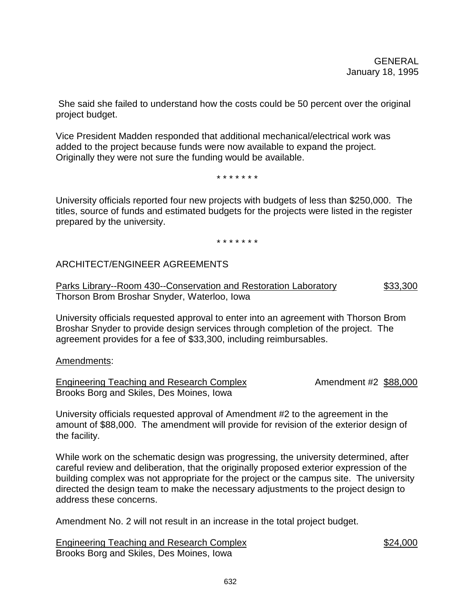She said she failed to understand how the costs could be 50 percent over the original project budget.

Vice President Madden responded that additional mechanical/electrical work was added to the project because funds were now available to expand the project. Originally they were not sure the funding would be available.

\* \* \* \* \* \* \*

University officials reported four new projects with budgets of less than \$250,000. The titles, source of funds and estimated budgets for the projects were listed in the register prepared by the university.

\* \* \* \* \* \* \*

## ARCHITECT/ENGINEER AGREEMENTS

Parks Library--Room 430--Conservation and Restoration Laboratory \$33,300 Thorson Brom Broshar Snyder, Waterloo, Iowa

University officials requested approval to enter into an agreement with Thorson Brom Broshar Snyder to provide design services through completion of the project. The agreement provides for a fee of \$33,300, including reimbursables.

Amendments:

Engineering Teaching and Research Complex Amendment #2 \$88,000 Brooks Borg and Skiles, Des Moines, Iowa

University officials requested approval of Amendment #2 to the agreement in the amount of \$88,000. The amendment will provide for revision of the exterior design of the facility.

While work on the schematic design was progressing, the university determined, after careful review and deliberation, that the originally proposed exterior expression of the building complex was not appropriate for the project or the campus site. The university directed the design team to make the necessary adjustments to the project design to address these concerns.

Amendment No. 2 will not result in an increase in the total project budget.

Engineering Teaching and Research Complex \$24,000 Brooks Borg and Skiles, Des Moines, Iowa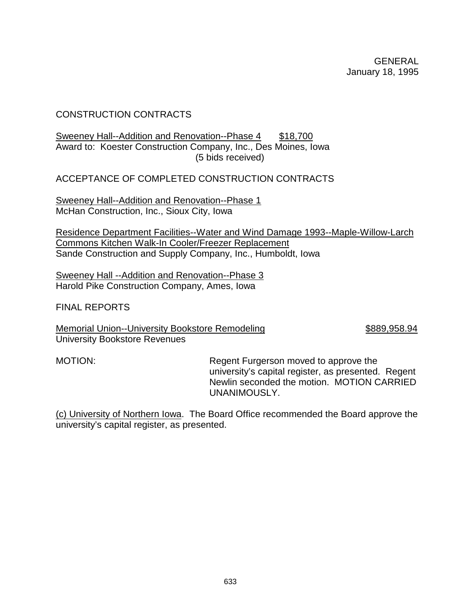## CONSTRUCTION CONTRACTS

#### Sweeney Hall--Addition and Renovation--Phase 4 \$18,700 Award to: Koester Construction Company, Inc., Des Moines, Iowa (5 bids received)

ACCEPTANCE OF COMPLETED CONSTRUCTION CONTRACTS

Sweeney Hall--Addition and Renovation--Phase 1 McHan Construction, Inc., Sioux City, Iowa

Residence Department Facilities--Water and Wind Damage 1993--Maple-Willow-Larch Commons Kitchen Walk-In Cooler/Freezer Replacement Sande Construction and Supply Company, Inc., Humboldt, Iowa

Sweeney Hall --Addition and Renovation--Phase 3 Harold Pike Construction Company, Ames, Iowa

FINAL REPORTS

Memorial Union--University Bookstore Remodeling **\$889,958.94** University Bookstore Revenues

MOTION: Regent Furgerson moved to approve the university's capital register, as presented. Regent Newlin seconded the motion. MOTION CARRIED UNANIMOUSLY.

(c) University of Northern Iowa. The Board Office recommended the Board approve the university's capital register, as presented.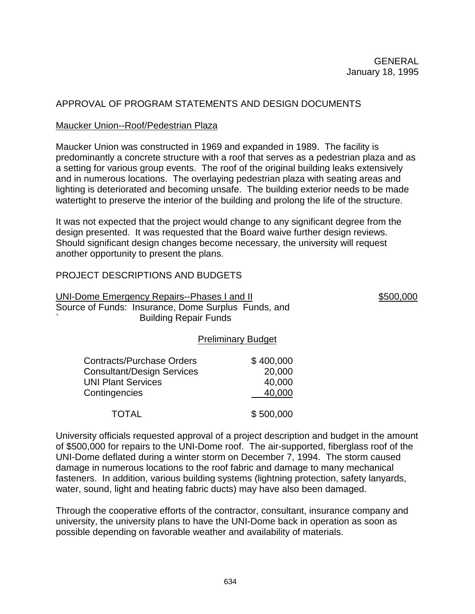# APPROVAL OF PROGRAM STATEMENTS AND DESIGN DOCUMENTS

# Maucker Union--Roof/Pedestrian Plaza

Maucker Union was constructed in 1969 and expanded in 1989. The facility is predominantly a concrete structure with a roof that serves as a pedestrian plaza and as a setting for various group events. The roof of the original building leaks extensively and in numerous locations. The overlaying pedestrian plaza with seating areas and lighting is deteriorated and becoming unsafe. The building exterior needs to be made watertight to preserve the interior of the building and prolong the life of the structure.

It was not expected that the project would change to any significant degree from the design presented. It was requested that the Board waive further design reviews. Should significant design changes become necessary, the university will request another opportunity to present the plans.

# PROJECT DESCRIPTIONS AND BUDGETS

UNI-Dome Emergency Repairs--Phases I and II  $$500,000$ Source of Funds: Insurance, Dome Surplus Funds, and Building Repair Funds

## Preliminary Budget

| <b>Contracts/Purchase Orders</b> | \$400,000 |
|----------------------------------|-----------|
| Consultant/Design Services       | 20,000    |
| <b>UNI Plant Services</b>        | 40,000    |
| Contingencies                    | 40,000    |
| <b>TOTAL</b>                     | \$500,000 |

University officials requested approval of a project description and budget in the amount of \$500,000 for repairs to the UNI-Dome roof. The air-supported, fiberglass roof of the UNI-Dome deflated during a winter storm on December 7, 1994. The storm caused damage in numerous locations to the roof fabric and damage to many mechanical fasteners. In addition, various building systems (lightning protection, safety lanyards, water, sound, light and heating fabric ducts) may have also been damaged.

Through the cooperative efforts of the contractor, consultant, insurance company and university, the university plans to have the UNI-Dome back in operation as soon as possible depending on favorable weather and availability of materials.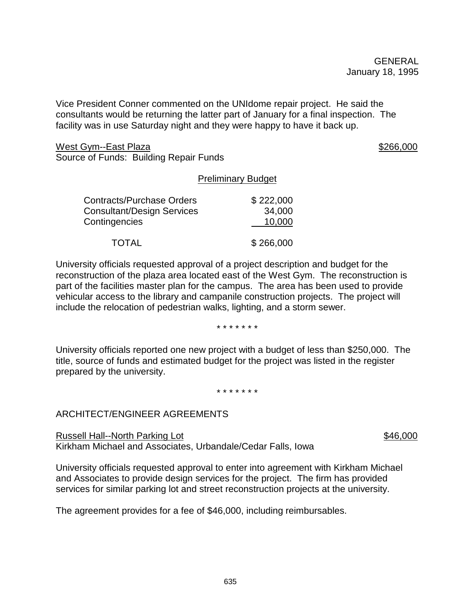Vice President Conner commented on the UNIdome repair project. He said the consultants would be returning the latter part of January for a final inspection. The facility was in use Saturday night and they were happy to have it back up.

West Gym--East Plaza \$266,000 Source of Funds: Building Repair Funds

## Preliminary Budget

| <b>Contracts/Purchase Orders</b> | \$222,000 |
|----------------------------------|-----------|
| Consultant/Design Services       | 34,000    |
| Contingencies                    | 10,000    |
| <b>TOTAL</b>                     | \$266,000 |

University officials requested approval of a project description and budget for the reconstruction of the plaza area located east of the West Gym. The reconstruction is part of the facilities master plan for the campus. The area has been used to provide vehicular access to the library and campanile construction projects. The project will include the relocation of pedestrian walks, lighting, and a storm sewer.

#### \* \* \* \* \* \* \*

University officials reported one new project with a budget of less than \$250,000. The title, source of funds and estimated budget for the project was listed in the register prepared by the university.

#### \* \* \* \* \* \* \*

## ARCHITECT/ENGINEER AGREEMENTS

Russell Hall--North Parking Lot  $$46,000$ Kirkham Michael and Associates, Urbandale/Cedar Falls, Iowa

University officials requested approval to enter into agreement with Kirkham Michael and Associates to provide design services for the project. The firm has provided services for similar parking lot and street reconstruction projects at the university.

The agreement provides for a fee of \$46,000, including reimbursables.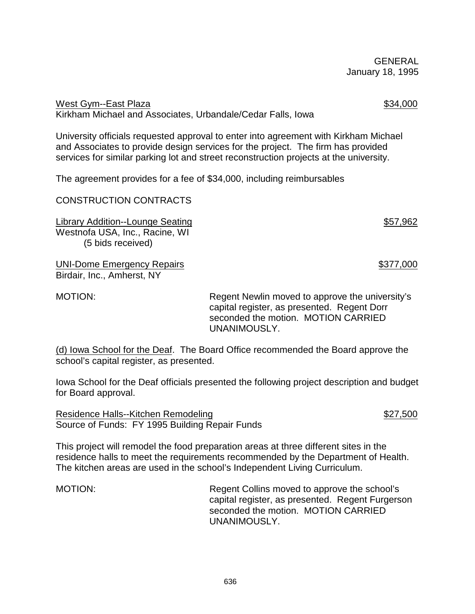636

 GENERAL January 18, 1995

West Gym--East Plaza \$34,000 Kirkham Michael and Associates, Urbandale/Cedar Falls, Iowa

University officials requested approval to enter into agreement with Kirkham Michael and Associates to provide design services for the project. The firm has provided services for similar parking lot and street reconstruction projects at the university.

The agreement provides for a fee of \$34,000, including reimbursables

CONSTRUCTION CONTRACTS

Library Addition--Lounge Seating  $$57,962$ Westnofa USA, Inc., Racine, WI (5 bids received)

UNI-Dome Emergency Repairs  $$377,000$ Birdair, Inc., Amherst, NY

MOTION: Regent Newlin moved to approve the university's capital register, as presented. Regent Dorr seconded the motion. MOTION CARRIED UNANIMOUSLY.

(d) Iowa School for the Deaf. The Board Office recommended the Board approve the school's capital register, as presented.

Iowa School for the Deaf officials presented the following project description and budget for Board approval.

Residence Halls--Kitchen Remodeling **\$27,500** \$27,500 Source of Funds: FY 1995 Building Repair Funds

This project will remodel the food preparation areas at three different sites in the residence halls to meet the requirements recommended by the Department of Health. The kitchen areas are used in the school's Independent Living Curriculum.

MOTION: Regent Collins moved to approve the school's capital register, as presented. Regent Furgerson seconded the motion. MOTION CARRIED UNANIMOUSLY.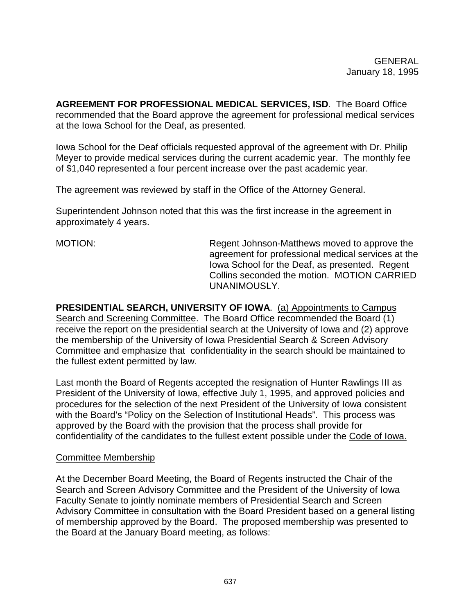**AGREEMENT FOR PROFESSIONAL MEDICAL SERVICES, ISD**. The Board Office recommended that the Board approve the agreement for professional medical services at the Iowa School for the Deaf, as presented.

Iowa School for the Deaf officials requested approval of the agreement with Dr. Philip Meyer to provide medical services during the current academic year. The monthly fee of \$1,040 represented a four percent increase over the past academic year.

The agreement was reviewed by staff in the Office of the Attorney General.

Superintendent Johnson noted that this was the first increase in the agreement in approximately 4 years.

MOTION: Regent Johnson-Matthews moved to approve the agreement for professional medical services at the Iowa School for the Deaf, as presented. Regent Collins seconded the motion. MOTION CARRIED UNANIMOUSLY.

**PRESIDENTIAL SEARCH, UNIVERSITY OF IOWA**. (a) Appointments to Campus Search and Screening Committee. The Board Office recommended the Board (1) receive the report on the presidential search at the University of Iowa and (2) approve the membership of the University of Iowa Presidential Search & Screen Advisory Committee and emphasize that confidentiality in the search should be maintained to the fullest extent permitted by law.

Last month the Board of Regents accepted the resignation of Hunter Rawlings III as President of the University of Iowa, effective July 1, 1995, and approved policies and procedures for the selection of the next President of the University of Iowa consistent with the Board's "Policy on the Selection of Institutional Heads". This process was approved by the Board with the provision that the process shall provide for confidentiality of the candidates to the fullest extent possible under the Code of Iowa.

## Committee Membership

At the December Board Meeting, the Board of Regents instructed the Chair of the Search and Screen Advisory Committee and the President of the University of Iowa Faculty Senate to jointly nominate members of Presidential Search and Screen Advisory Committee in consultation with the Board President based on a general listing of membership approved by the Board. The proposed membership was presented to the Board at the January Board meeting, as follows: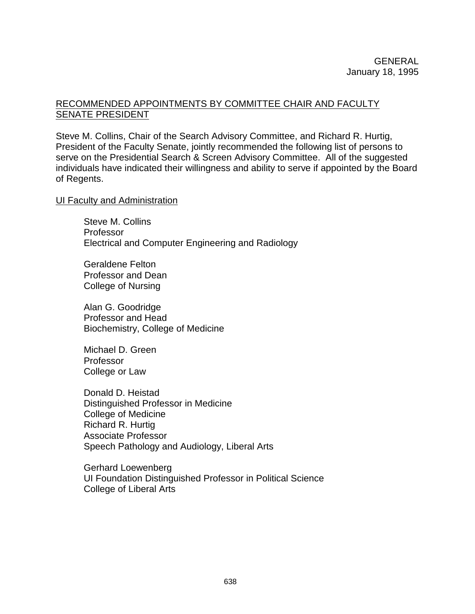## RECOMMENDED APPOINTMENTS BY COMMITTEE CHAIR AND FACULTY SENATE PRESIDENT

Steve M. Collins, Chair of the Search Advisory Committee, and Richard R. Hurtig, President of the Faculty Senate, jointly recommended the following list of persons to serve on the Presidential Search & Screen Advisory Committee. All of the suggested individuals have indicated their willingness and ability to serve if appointed by the Board of Regents.

#### **UI Faculty and Administration**

Steve M. Collins Professor Electrical and Computer Engineering and Radiology

Geraldene Felton Professor and Dean College of Nursing

Alan G. Goodridge Professor and Head Biochemistry, College of Medicine

Michael D. Green Professor College or Law

Donald D. Heistad Distinguished Professor in Medicine College of Medicine Richard R. Hurtig Associate Professor Speech Pathology and Audiology, Liberal Arts

Gerhard Loewenberg UI Foundation Distinguished Professor in Political Science College of Liberal Arts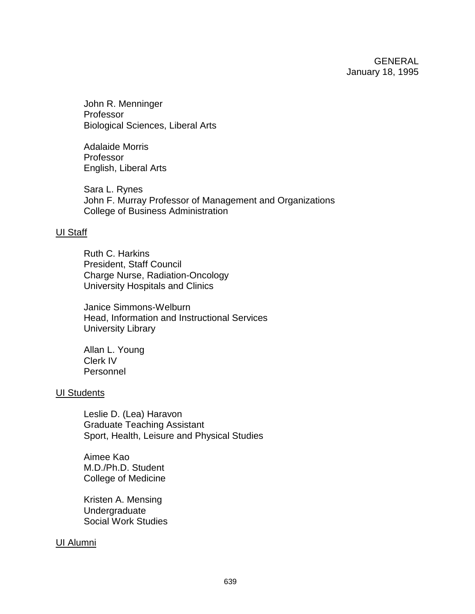John R. Menninger Professor Biological Sciences, Liberal Arts

Adalaide Morris Professor English, Liberal Arts

Sara L. Rynes John F. Murray Professor of Management and Organizations College of Business Administration

#### UI Staff

Ruth C. Harkins President, Staff Council Charge Nurse, Radiation-Oncology University Hospitals and Clinics

Janice Simmons-Welburn Head, Information and Instructional Services University Library

Allan L. Young Clerk IV Personnel

#### UI Students

Leslie D. (Lea) Haravon Graduate Teaching Assistant Sport, Health, Leisure and Physical Studies

Aimee Kao M.D./Ph.D. Student College of Medicine

Kristen A. Mensing Undergraduate Social Work Studies

## UI Alumni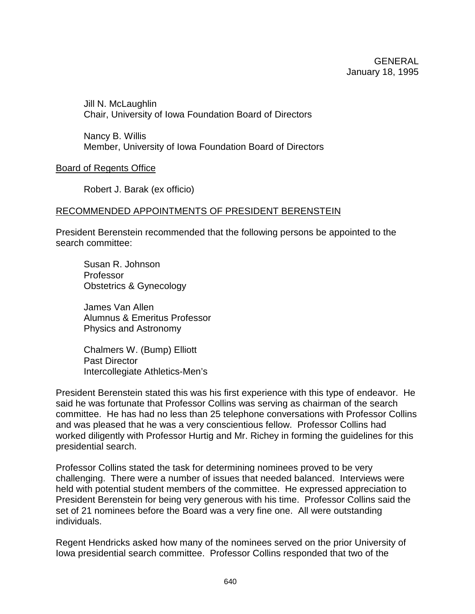Jill N. McLaughlin Chair, University of Iowa Foundation Board of Directors

Nancy B. Willis Member, University of Iowa Foundation Board of Directors

Board of Regents Office

Robert J. Barak (ex officio)

## RECOMMENDED APPOINTMENTS OF PRESIDENT BERENSTEIN

President Berenstein recommended that the following persons be appointed to the search committee:

Susan R. Johnson Professor Obstetrics & Gynecology

James Van Allen Alumnus & Emeritus Professor Physics and Astronomy

Chalmers W. (Bump) Elliott Past Director Intercollegiate Athletics-Men's

President Berenstein stated this was his first experience with this type of endeavor. He said he was fortunate that Professor Collins was serving as chairman of the search committee. He has had no less than 25 telephone conversations with Professor Collins and was pleased that he was a very conscientious fellow. Professor Collins had worked diligently with Professor Hurtig and Mr. Richey in forming the guidelines for this presidential search.

Professor Collins stated the task for determining nominees proved to be very challenging. There were a number of issues that needed balanced. Interviews were held with potential student members of the committee. He expressed appreciation to President Berenstein for being very generous with his time. Professor Collins said the set of 21 nominees before the Board was a very fine one. All were outstanding individuals.

Regent Hendricks asked how many of the nominees served on the prior University of Iowa presidential search committee. Professor Collins responded that two of the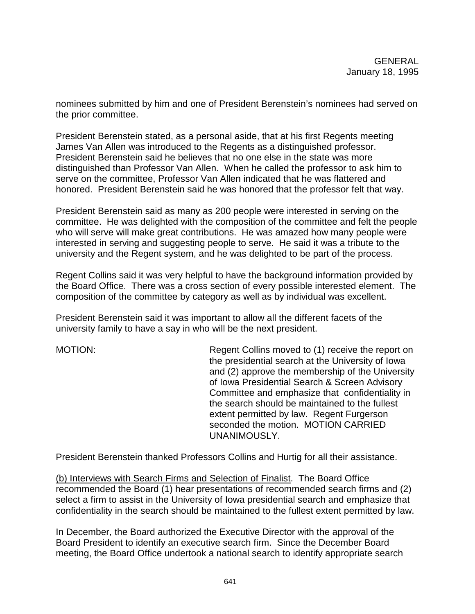nominees submitted by him and one of President Berenstein's nominees had served on the prior committee.

President Berenstein stated, as a personal aside, that at his first Regents meeting James Van Allen was introduced to the Regents as a distinguished professor. President Berenstein said he believes that no one else in the state was more distinguished than Professor Van Allen. When he called the professor to ask him to serve on the committee, Professor Van Allen indicated that he was flattered and honored. President Berenstein said he was honored that the professor felt that way.

President Berenstein said as many as 200 people were interested in serving on the committee. He was delighted with the composition of the committee and felt the people who will serve will make great contributions. He was amazed how many people were interested in serving and suggesting people to serve. He said it was a tribute to the university and the Regent system, and he was delighted to be part of the process.

Regent Collins said it was very helpful to have the background information provided by the Board Office. There was a cross section of every possible interested element. The composition of the committee by category as well as by individual was excellent.

President Berenstein said it was important to allow all the different facets of the university family to have a say in who will be the next president.

MOTION: Regent Collins moved to (1) receive the report on the presidential search at the University of Iowa and (2) approve the membership of the University of Iowa Presidential Search & Screen Advisory Committee and emphasize that confidentiality in the search should be maintained to the fullest extent permitted by law. Regent Furgerson seconded the motion. MOTION CARRIED UNANIMOUSLY.

President Berenstein thanked Professors Collins and Hurtig for all their assistance.

(b) Interviews with Search Firms and Selection of Finalist. The Board Office recommended the Board (1) hear presentations of recommended search firms and (2) select a firm to assist in the University of Iowa presidential search and emphasize that confidentiality in the search should be maintained to the fullest extent permitted by law.

In December, the Board authorized the Executive Director with the approval of the Board President to identify an executive search firm. Since the December Board meeting, the Board Office undertook a national search to identify appropriate search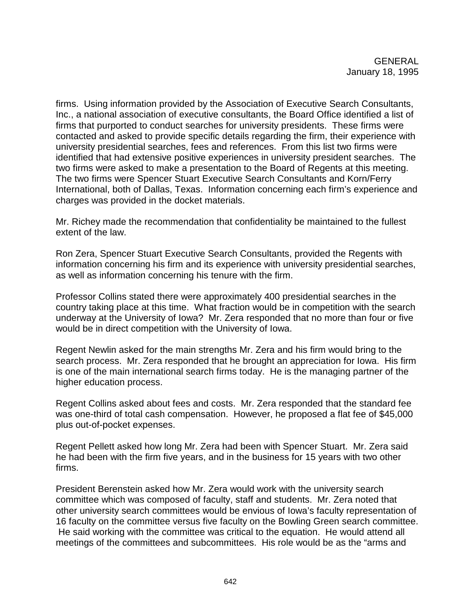firms. Using information provided by the Association of Executive Search Consultants, Inc., a national association of executive consultants, the Board Office identified a list of firms that purported to conduct searches for university presidents. These firms were contacted and asked to provide specific details regarding the firm, their experience with university presidential searches, fees and references. From this list two firms were identified that had extensive positive experiences in university president searches. The two firms were asked to make a presentation to the Board of Regents at this meeting. The two firms were Spencer Stuart Executive Search Consultants and Korn/Ferry International, both of Dallas, Texas. Information concerning each firm's experience and charges was provided in the docket materials.

Mr. Richey made the recommendation that confidentiality be maintained to the fullest extent of the law.

Ron Zera, Spencer Stuart Executive Search Consultants, provided the Regents with information concerning his firm and its experience with university presidential searches, as well as information concerning his tenure with the firm.

Professor Collins stated there were approximately 400 presidential searches in the country taking place at this time. What fraction would be in competition with the search underway at the University of Iowa? Mr. Zera responded that no more than four or five would be in direct competition with the University of Iowa.

Regent Newlin asked for the main strengths Mr. Zera and his firm would bring to the search process. Mr. Zera responded that he brought an appreciation for Iowa. His firm is one of the main international search firms today. He is the managing partner of the higher education process.

Regent Collins asked about fees and costs. Mr. Zera responded that the standard fee was one-third of total cash compensation. However, he proposed a flat fee of \$45,000 plus out-of-pocket expenses.

Regent Pellett asked how long Mr. Zera had been with Spencer Stuart. Mr. Zera said he had been with the firm five years, and in the business for 15 years with two other firms.

President Berenstein asked how Mr. Zera would work with the university search committee which was composed of faculty, staff and students. Mr. Zera noted that other university search committees would be envious of Iowa's faculty representation of 16 faculty on the committee versus five faculty on the Bowling Green search committee. He said working with the committee was critical to the equation. He would attend all meetings of the committees and subcommittees. His role would be as the "arms and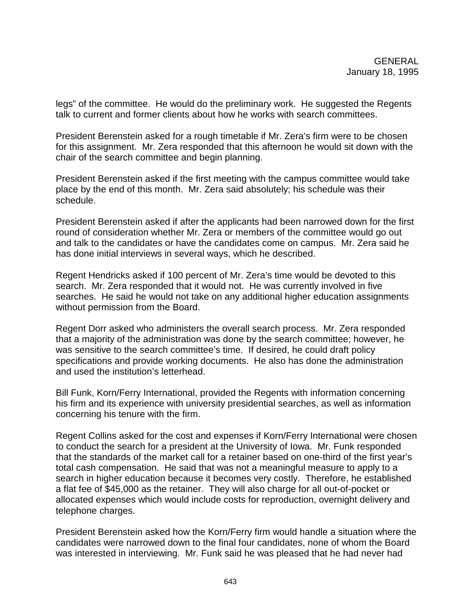legs" of the committee. He would do the preliminary work. He suggested the Regents talk to current and former clients about how he works with search committees.

President Berenstein asked for a rough timetable if Mr. Zera's firm were to be chosen for this assignment. Mr. Zera responded that this afternoon he would sit down with the chair of the search committee and begin planning.

President Berenstein asked if the first meeting with the campus committee would take place by the end of this month. Mr. Zera said absolutely; his schedule was their schedule.

President Berenstein asked if after the applicants had been narrowed down for the first round of consideration whether Mr. Zera or members of the committee would go out and talk to the candidates or have the candidates come on campus. Mr. Zera said he has done initial interviews in several ways, which he described.

Regent Hendricks asked if 100 percent of Mr. Zera's time would be devoted to this search. Mr. Zera responded that it would not. He was currently involved in five searches. He said he would not take on any additional higher education assignments without permission from the Board.

Regent Dorr asked who administers the overall search process. Mr. Zera responded that a majority of the administration was done by the search committee; however, he was sensitive to the search committee's time. If desired, he could draft policy specifications and provide working documents. He also has done the administration and used the institution's letterhead.

Bill Funk, Korn/Ferry International, provided the Regents with information concerning his firm and its experience with university presidential searches, as well as information concerning his tenure with the firm.

Regent Collins asked for the cost and expenses if Korn/Ferry International were chosen to conduct the search for a president at the University of Iowa. Mr. Funk responded that the standards of the market call for a retainer based on one-third of the first year's total cash compensation. He said that was not a meaningful measure to apply to a search in higher education because it becomes very costly. Therefore, he established a flat fee of \$45,000 as the retainer. They will also charge for all out-of-pocket or allocated expenses which would include costs for reproduction, overnight delivery and telephone charges.

President Berenstein asked how the Korn/Ferry firm would handle a situation where the candidates were narrowed down to the final four candidates, none of whom the Board was interested in interviewing. Mr. Funk said he was pleased that he had never had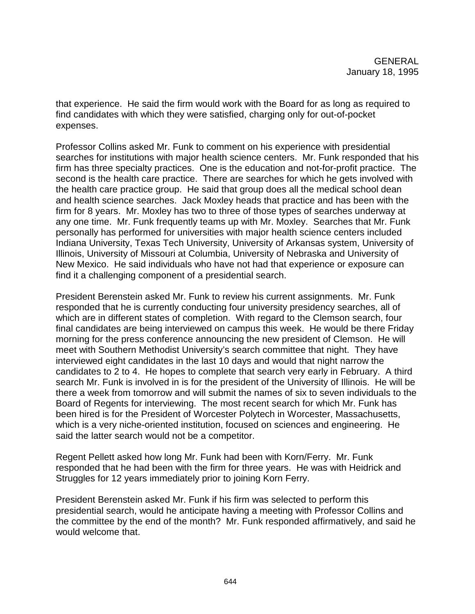that experience. He said the firm would work with the Board for as long as required to find candidates with which they were satisfied, charging only for out-of-pocket expenses.

Professor Collins asked Mr. Funk to comment on his experience with presidential searches for institutions with major health science centers. Mr. Funk responded that his firm has three specialty practices. One is the education and not-for-profit practice. The second is the health care practice. There are searches for which he gets involved with the health care practice group. He said that group does all the medical school dean and health science searches. Jack Moxley heads that practice and has been with the firm for 8 years. Mr. Moxley has two to three of those types of searches underway at any one time. Mr. Funk frequently teams up with Mr. Moxley. Searches that Mr. Funk personally has performed for universities with major health science centers included Indiana University, Texas Tech University, University of Arkansas system, University of Illinois, University of Missouri at Columbia, University of Nebraska and University of New Mexico. He said individuals who have not had that experience or exposure can find it a challenging component of a presidential search.

President Berenstein asked Mr. Funk to review his current assignments. Mr. Funk responded that he is currently conducting four university presidency searches, all of which are in different states of completion. With regard to the Clemson search, four final candidates are being interviewed on campus this week. He would be there Friday morning for the press conference announcing the new president of Clemson. He will meet with Southern Methodist University's search committee that night. They have interviewed eight candidates in the last 10 days and would that night narrow the candidates to 2 to 4. He hopes to complete that search very early in February. A third search Mr. Funk is involved in is for the president of the University of Illinois. He will be there a week from tomorrow and will submit the names of six to seven individuals to the Board of Regents for interviewing. The most recent search for which Mr. Funk has been hired is for the President of Worcester Polytech in Worcester, Massachusetts, which is a very niche-oriented institution, focused on sciences and engineering. He said the latter search would not be a competitor.

Regent Pellett asked how long Mr. Funk had been with Korn/Ferry. Mr. Funk responded that he had been with the firm for three years. He was with Heidrick and Struggles for 12 years immediately prior to joining Korn Ferry.

President Berenstein asked Mr. Funk if his firm was selected to perform this presidential search, would he anticipate having a meeting with Professor Collins and the committee by the end of the month? Mr. Funk responded affirmatively, and said he would welcome that.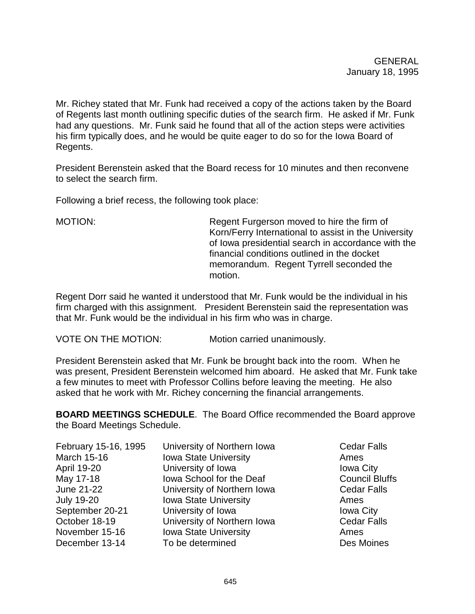Mr. Richey stated that Mr. Funk had received a copy of the actions taken by the Board of Regents last month outlining specific duties of the search firm. He asked if Mr. Funk had any questions. Mr. Funk said he found that all of the action steps were activities his firm typically does, and he would be quite eager to do so for the Iowa Board of Regents.

President Berenstein asked that the Board recess for 10 minutes and then reconvene to select the search firm.

Following a brief recess, the following took place:

MOTION: Regent Furgerson moved to hire the firm of Korn/Ferry International to assist in the University of Iowa presidential search in accordance with the financial conditions outlined in the docket memorandum. Regent Tyrrell seconded the motion.

Regent Dorr said he wanted it understood that Mr. Funk would be the individual in his firm charged with this assignment. President Berenstein said the representation was that Mr. Funk would be the individual in his firm who was in charge.

VOTE ON THE MOTION: Motion carried unanimously.

President Berenstein asked that Mr. Funk be brought back into the room. When he was present, President Berenstein welcomed him aboard. He asked that Mr. Funk take a few minutes to meet with Professor Collins before leaving the meeting. He also asked that he work with Mr. Richey concerning the financial arrangements.

**BOARD MEETINGS SCHEDULE**. The Board Office recommended the Board approve the Board Meetings Schedule.

| February 15-16, 1995 | University of Northern Iowa  | <b>Cedar Falls</b>    |
|----------------------|------------------------------|-----------------------|
| <b>March 15-16</b>   | <b>Iowa State University</b> | Ames                  |
| April 19-20          | University of Iowa           | <b>Iowa City</b>      |
| May 17-18            | Iowa School for the Deaf     | <b>Council Bluffs</b> |
| June 21-22           | University of Northern Iowa  | <b>Cedar Falls</b>    |
| <b>July 19-20</b>    | <b>Iowa State University</b> | Ames                  |
| September 20-21      | University of Iowa           | <b>Iowa City</b>      |
| October 18-19        | University of Northern Iowa  | <b>Cedar Falls</b>    |
| November 15-16       | <b>Iowa State University</b> | Ames                  |
| December 13-14       | To be determined             | Des Moines            |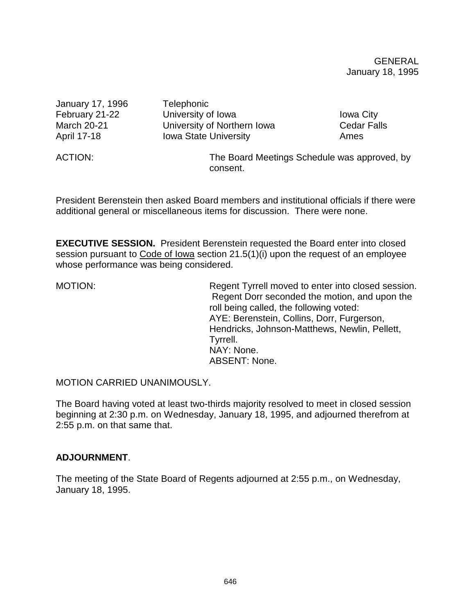GENERAL January 18, 1995

January 17, 1996 Telephonic February 21-22 University of Iowa Internal Communisty of Iowa City March 20-21 **University of Northern Iowa** Cedar Falls April 17-18 **Iowa State University** Ames ACTION: The Board Meetings Schedule was approved, by consent.

President Berenstein then asked Board members and institutional officials if there were additional general or miscellaneous items for discussion. There were none.

**EXECUTIVE SESSION.** President Berenstein requested the Board enter into closed session pursuant to Code of Iowa section 21.5(1)(i) upon the request of an employee whose performance was being considered.

MOTION: Regent Tyrrell moved to enter into closed session. Regent Dorr seconded the motion, and upon the roll being called, the following voted: AYE: Berenstein, Collins, Dorr, Furgerson, Hendricks, Johnson-Matthews, Newlin, Pellett, Tyrrell. NAY: None. ABSENT: None.

MOTION CARRIED UNANIMOUSLY.

The Board having voted at least two-thirds majority resolved to meet in closed session beginning at 2:30 p.m. on Wednesday, January 18, 1995, and adjourned therefrom at 2:55 p.m. on that same that.

## **ADJOURNMENT**.

The meeting of the State Board of Regents adjourned at 2:55 p.m., on Wednesday, January 18, 1995.